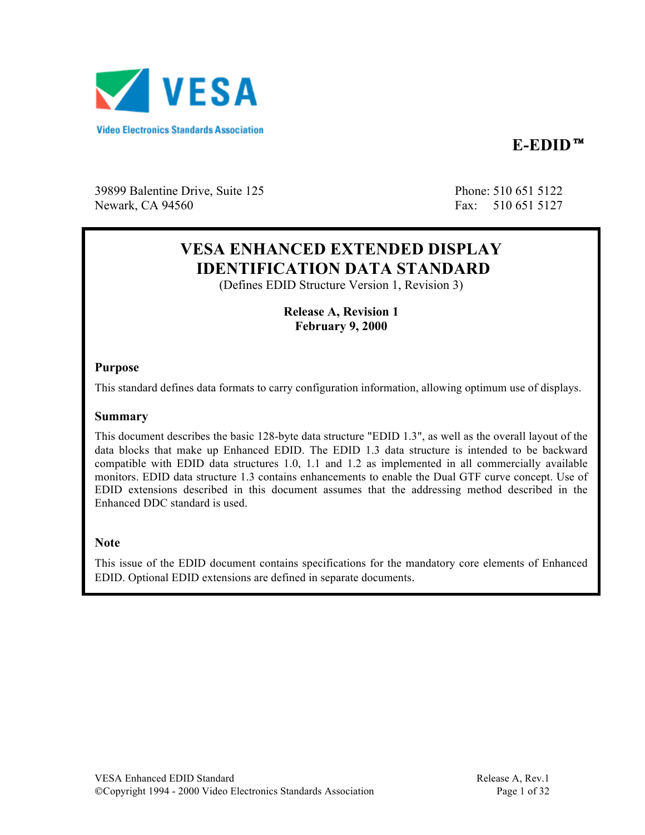

**E-EDID**™

39899 Balentine Drive, Suite 125 Phone: 510 651 5122 Newark, CA 94560 Fax: 510 651 5127

# **VESA ENHANCED EXTENDED DISPLAY IDENTIFICATION DATA STANDARD**

(Defines EDID Structure Version 1, Revision 3)

**Release A, Revision 1 February 9, 2000**

#### **Purpose**

This standard defines data formats to carry configuration information, allowing optimum use of displays.

#### **Summary**

This document describes the basic 128-byte data structure "EDID 1.3", as well as the overall layout of the data blocks that make up Enhanced EDID. The EDID 1.3 data structure is intended to be backward compatible with EDID data structures 1.0, 1.1 and 1.2 as implemented in all commercially available monitors. EDID data structure 1.3 contains enhancements to enable the Dual GTF curve concept. Use of EDID extensions described in this document assumes that the addressing method described in the Enhanced DDC standard is used.

#### **Note**

This issue of the EDID document contains specifications for the mandatory core elements of Enhanced EDID. Optional EDID extensions are defined in separate documents.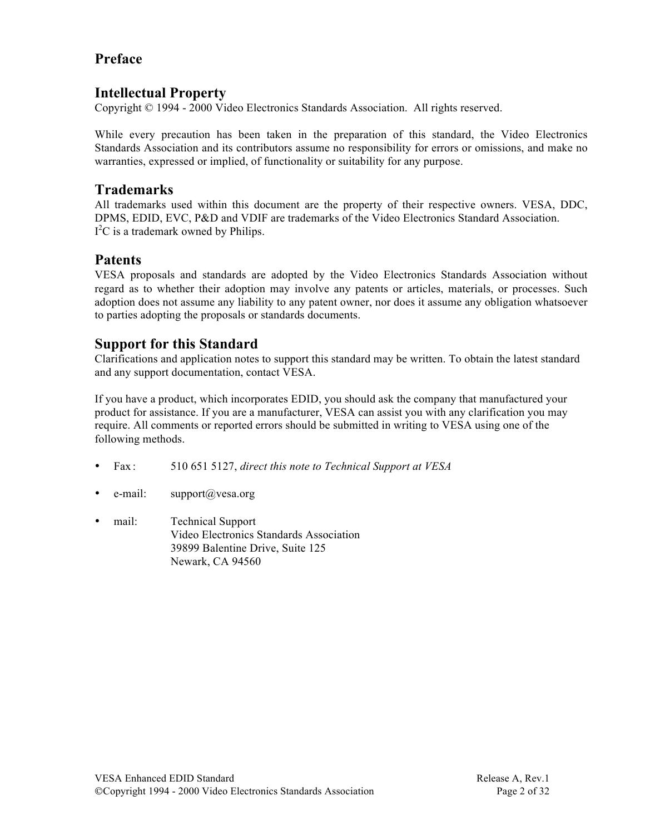# **Preface**

## **Intellectual Property**

Copyright © 1994 - 2000 Video Electronics Standards Association. All rights reserved.

While every precaution has been taken in the preparation of this standard, the Video Electronics Standards Association and its contributors assume no responsibility for errors or omissions, and make no warranties, expressed or implied, of functionality or suitability for any purpose.

# **Trademarks**

All trademarks used within this document are the property of their respective owners. VESA, DDC, DPMS, EDID, EVC, P&D and VDIF are trademarks of the Video Electronics Standard Association.  $I<sup>2</sup>C$  is a trademark owned by Philips.

# **Patents**

VESA proposals and standards are adopted by the Video Electronics Standards Association without regard as to whether their adoption may involve any patents or articles, materials, or processes. Such adoption does not assume any liability to any patent owner, nor does it assume any obligation whatsoever to parties adopting the proposals or standards documents.

# **Support for this Standard**

Clarifications and application notes to support this standard may be written. To obtain the latest standard and any support documentation, contact VESA.

If you have a product, which incorporates EDID, you should ask the company that manufactured your product for assistance. If you are a manufacturer, VESA can assist you with any clarification you may require. All comments or reported errors should be submitted in writing to VESA using one of the following methods.

- Fax : 510 651 5127, *direct this note to Technical Support at VESA*
- e-mail:  $support@vesa.org$
- mail: Technical Support Video Electronics Standards Association 39899 Balentine Drive, Suite 125 Newark, CA 94560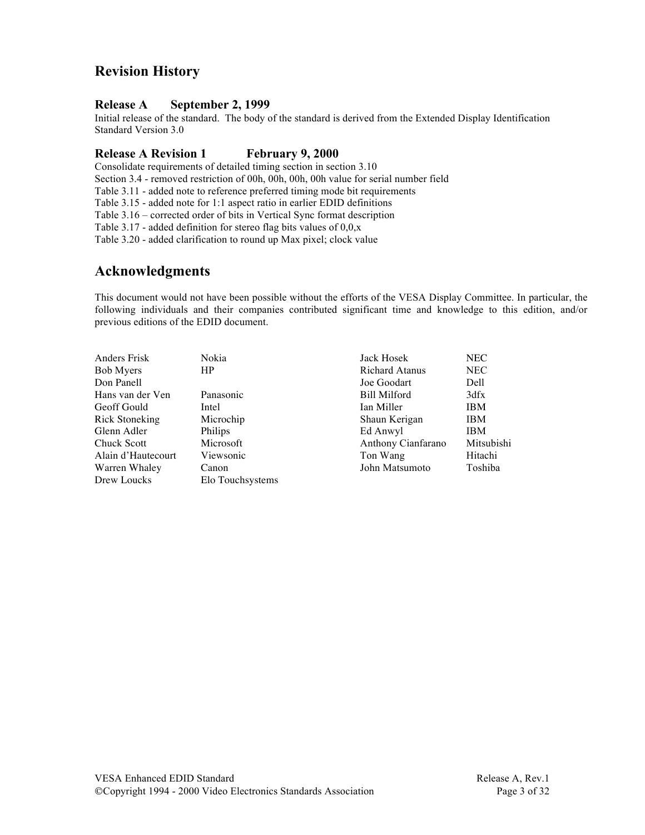# **Revision History**

#### **Release A September 2, 1999**

Initial release of the standard. The body of the standard is derived from the Extended Display Identification Standard Version 3.0

#### **Release A Revision 1 February 9, 2000**

Consolidate requirements of detailed timing section in section 3.10

Section 3.4 - removed restriction of 00h, 00h, 00h, 00h value for serial number field

Table 3.11 - added note to reference preferred timing mode bit requirements

Table 3.15 - added note for 1:1 aspect ratio in earlier EDID definitions

Table 3.16 – corrected order of bits in Vertical Sync format description

Table 3.17 - added definition for stereo flag bits values of  $0.0$ , x

Table 3.20 - added clarification to round up Max pixel; clock value

## **Acknowledgments**

This document would not have been possible without the efforts of the VESA Display Committee. In particular, the following individuals and their companies contributed significant time and knowledge to this edition, and/or previous editions of the EDID document.

| Anders Frisk          | Nokia            | Jack Hosek            | NEC.       |
|-----------------------|------------------|-----------------------|------------|
| <b>Bob Myers</b>      | HP               | <b>Richard Atanus</b> | NEC.       |
|                       |                  |                       |            |
| Don Panell            |                  | Joe Goodart           | Dell       |
| Hans van der Ven      | Panasonic        | <b>Bill Milford</b>   | 3dfx       |
| Geoff Gould           | Intel            | Ian Miller            | <b>IBM</b> |
| <b>Rick Stoneking</b> | Microchip        | Shaun Kerigan         | <b>IBM</b> |
| Glenn Adler           | <b>Philips</b>   | Ed Anwyl              | <b>IBM</b> |
| <b>Chuck Scott</b>    | Microsoft        | Anthony Cianfarano    | Mitsubishi |
| Alain d'Hautecourt    | Viewsonic        | Ton Wang              | Hitachi    |
| Warren Whaley         | Canon            | John Matsumoto        | Toshiba    |
| Drew Loucks           | Elo Touchsystems |                       |            |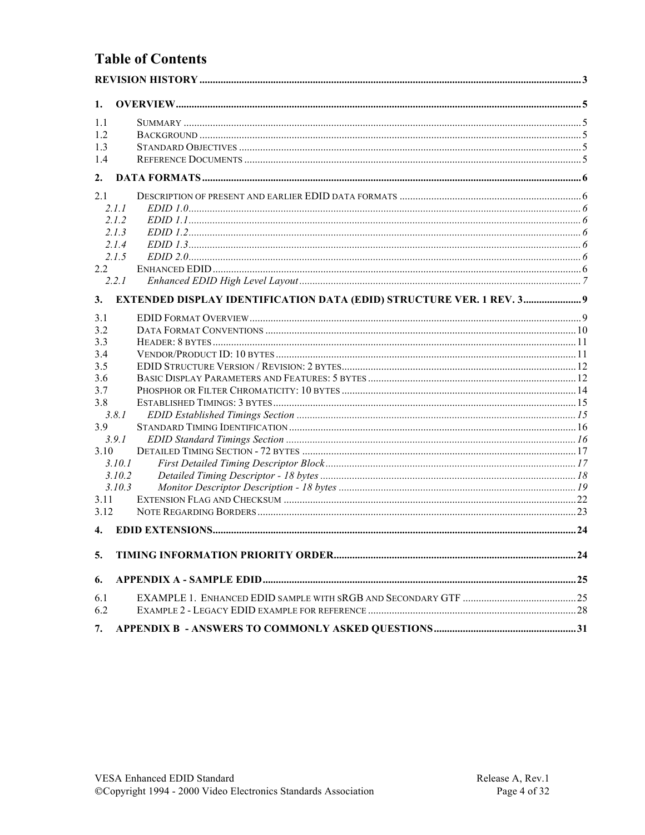# **Table of Contents**

| 1.         |                                                                       |  |
|------------|-----------------------------------------------------------------------|--|
| 1.1        |                                                                       |  |
| 1.2        |                                                                       |  |
| 1.3        |                                                                       |  |
| 1.4        |                                                                       |  |
| 2.         |                                                                       |  |
| 2.1        |                                                                       |  |
|            | 2.1.1                                                                 |  |
|            | 2.1.2                                                                 |  |
|            | 2.1.3                                                                 |  |
|            | 2.1.4                                                                 |  |
|            | 2.1.5                                                                 |  |
| 2.2        | 2.2.1                                                                 |  |
|            |                                                                       |  |
| 3.         | EXTENDED DISPLAY IDENTIFICATION DATA (EDID) STRUCTURE VER. 1 REV. 3 9 |  |
| 3.1        |                                                                       |  |
| 3.2        |                                                                       |  |
| 3.3<br>3.4 |                                                                       |  |
| 3.5        |                                                                       |  |
| 3.6        |                                                                       |  |
| 3.7        |                                                                       |  |
| 3.8        |                                                                       |  |
|            | 3.8.1                                                                 |  |
| 3.9        |                                                                       |  |
|            | 3.9.1                                                                 |  |
| 3.10       |                                                                       |  |
|            | 3.10.1                                                                |  |
|            | 3.10.2                                                                |  |
|            | 3.10.3                                                                |  |
| 3.11       |                                                                       |  |
| 3.12       |                                                                       |  |
| 4.         |                                                                       |  |
| 5.         |                                                                       |  |
| 6.         |                                                                       |  |
| 6.1        |                                                                       |  |
| 6.2        |                                                                       |  |
| 7.         |                                                                       |  |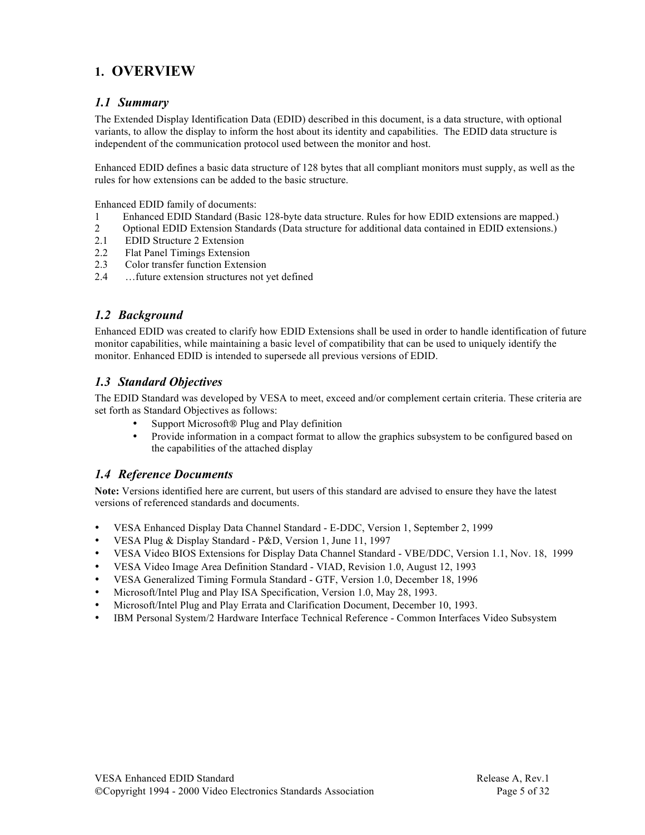# **1. OVERVIEW**

#### *1.1 Summary*

The Extended Display Identification Data (EDID) described in this document, is a data structure, with optional variants, to allow the display to inform the host about its identity and capabilities. The EDID data structure is independent of the communication protocol used between the monitor and host.

Enhanced EDID defines a basic data structure of 128 bytes that all compliant monitors must supply, as well as the rules for how extensions can be added to the basic structure.

Enhanced EDID family of documents:

- 1 Enhanced EDID Standard (Basic 128-byte data structure. Rules for how EDID extensions are mapped.)
- 2 Optional EDID Extension Standards (Data structure for additional data contained in EDID extensions.)
- 2.1 EDID Structure 2 Extension
- 2.2 Flat Panel Timings Extension
- 2.3 Color transfer function Extension
- 2.4 …future extension structures not yet defined

#### *1.2 Background*

Enhanced EDID was created to clarify how EDID Extensions shall be used in order to handle identification of future monitor capabilities, while maintaining a basic level of compatibility that can be used to uniquely identify the monitor. Enhanced EDID is intended to supersede all previous versions of EDID.

#### *1.3 Standard Objectives*

The EDID Standard was developed by VESA to meet, exceed and/or complement certain criteria. These criteria are set forth as Standard Objectives as follows:

- Support Microsoft® Plug and Play definition<br>• Provide information in a compact format to all
- Provide information in a compact format to allow the graphics subsystem to be configured based on the capabilities of the attached display

#### *1.4 Reference Documents*

**Note:** Versions identified here are current, but users of this standard are advised to ensure they have the latest versions of referenced standards and documents.

- VESA Enhanced Display Data Channel Standard E-DDC, Version 1, September 2, 1999
- VESA Plug & Display Standard P&D, Version 1, June 11, 1997
- VESA Video BIOS Extensions for Display Data Channel Standard VBE/DDC, Version 1.1, Nov. 18, 1999
- VESA Video Image Area Definition Standard VIAD, Revision 1.0, August 12, 1993
- VESA Generalized Timing Formula Standard GTF, Version 1.0, December 18, 1996
- Microsoft/Intel Plug and Play ISA Specification, Version 1.0, May 28, 1993.
- Microsoft/Intel Plug and Play Errata and Clarification Document, December 10, 1993.
- IBM Personal System/2 Hardware Interface Technical Reference Common Interfaces Video Subsystem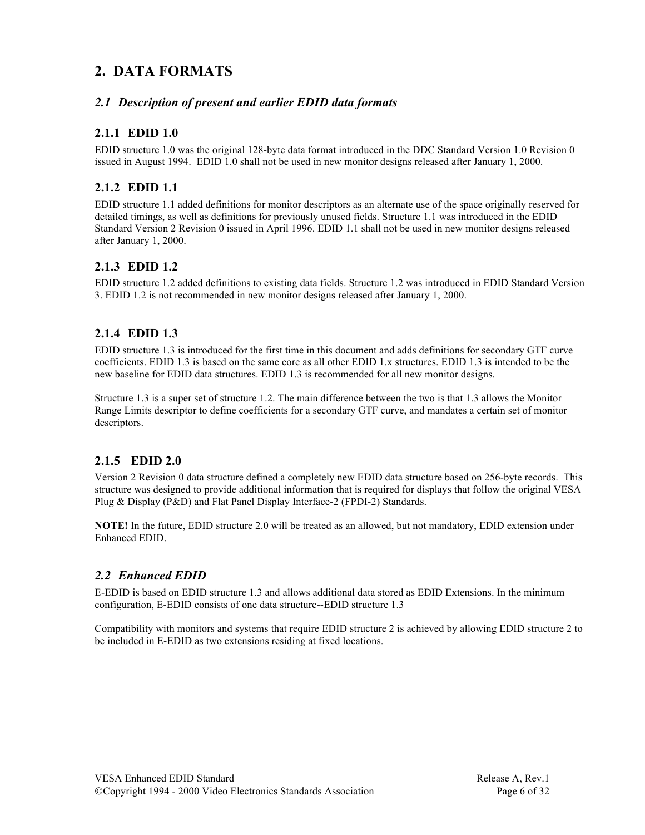# **2. DATA FORMATS**

#### *2.1 Description of present and earlier EDID data formats*

### **2.1.1 EDID 1.0**

EDID structure 1.0 was the original 128-byte data format introduced in the DDC Standard Version 1.0 Revision 0 issued in August 1994. EDID 1.0 shall not be used in new monitor designs released after January 1, 2000.

#### **2.1.2 EDID 1.1**

EDID structure 1.1 added definitions for monitor descriptors as an alternate use of the space originally reserved for detailed timings, as well as definitions for previously unused fields. Structure 1.1 was introduced in the EDID Standard Version 2 Revision 0 issued in April 1996. EDID 1.1 shall not be used in new monitor designs released after January 1, 2000.

### **2.1.3 EDID 1.2**

EDID structure 1.2 added definitions to existing data fields. Structure 1.2 was introduced in EDID Standard Version 3. EDID 1.2 is not recommended in new monitor designs released after January 1, 2000.

### **2.1.4 EDID 1.3**

EDID structure 1.3 is introduced for the first time in this document and adds definitions for secondary GTF curve coefficients. EDID 1.3 is based on the same core as all other EDID 1.x structures. EDID 1.3 is intended to be the new baseline for EDID data structures. EDID 1.3 is recommended for all new monitor designs.

Structure 1.3 is a super set of structure 1.2. The main difference between the two is that 1.3 allows the Monitor Range Limits descriptor to define coefficients for a secondary GTF curve, and mandates a certain set of monitor descriptors.

### **2.1.5 EDID 2.0**

Version 2 Revision 0 data structure defined a completely new EDID data structure based on 256-byte records. This structure was designed to provide additional information that is required for displays that follow the original VESA Plug & Display (P&D) and Flat Panel Display Interface-2 (FPDI-2) Standards.

**NOTE!** In the future, EDID structure 2.0 will be treated as an allowed, but not mandatory, EDID extension under Enhanced EDID.

### *2.2 Enhanced EDID*

E-EDID is based on EDID structure 1.3 and allows additional data stored as EDID Extensions. In the minimum configuration, E-EDID consists of one data structure--EDID structure 1.3

Compatibility with monitors and systems that require EDID structure 2 is achieved by allowing EDID structure 2 to be included in E-EDID as two extensions residing at fixed locations.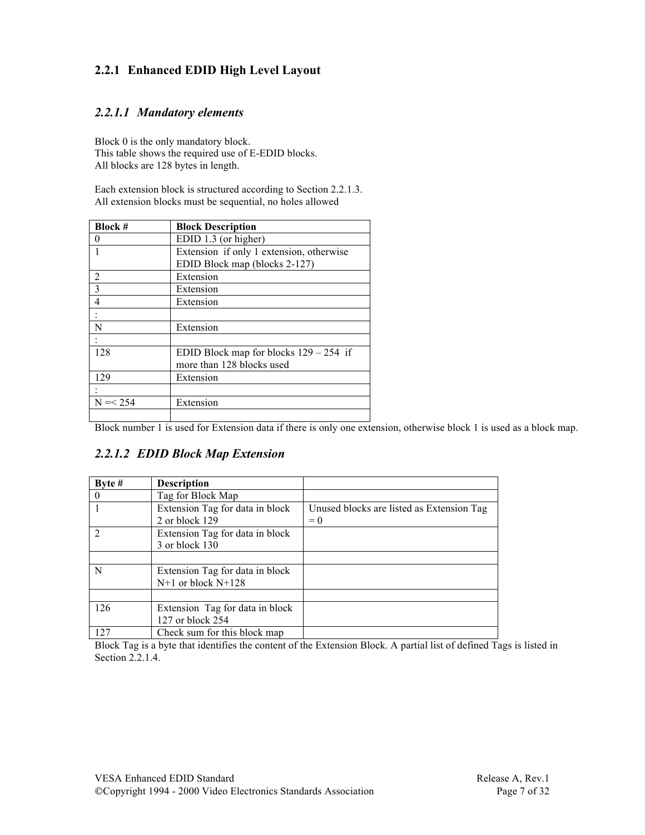## **2.2.1 Enhanced EDID High Level Layout**

#### *2.2.1.1 Mandatory elements*

Block 0 is the only mandatory block. This table shows the required use of E-EDID blocks. All blocks are 128 bytes in length.

Each extension block is structured according to Section 2.2.1.3. All extension blocks must be sequential, no holes allowed

| <b>Block #</b> | <b>Block Description</b>                 |
|----------------|------------------------------------------|
| 0              | EDID 1.3 (or higher)                     |
|                | Extension if only 1 extension, otherwise |
|                | EDID Block map (blocks 2-127)            |
| 2              | Extension                                |
| $\mathbf{3}$   | Extension                                |
| 4              | Extension                                |
|                |                                          |
| N              | Extension                                |
|                |                                          |
| 128            | EDID Block map for blocks $129 - 254$ if |
|                | more than 128 blocks used                |
| 129            | Extension                                |
|                |                                          |
| $N = < 254$    | Extension                                |
|                |                                          |

┙ Block number 1 is used for Extension data if there is only one extension, otherwise block 1 is used as a block map.

### *2.2.1.2 EDID Block Map Extension*

| Byte $#$      | <b>Description</b>              |                                           |
|---------------|---------------------------------|-------------------------------------------|
| $\mathbf{0}$  | Tag for Block Map               |                                           |
|               | Extension Tag for data in block | Unused blocks are listed as Extension Tag |
|               | 2 or block 129                  | $= 0$                                     |
| $\mathcal{D}$ | Extension Tag for data in block |                                           |
|               | 3 or block 130                  |                                           |
|               |                                 |                                           |
| N             | Extension Tag for data in block |                                           |
|               | $N+1$ or block $N+128$          |                                           |
|               |                                 |                                           |
| 126           | Extension Tag for data in block |                                           |
|               | 127 or block 254                |                                           |
| 127           | Check sum for this block map    |                                           |

Block Tag is a byte that identifies the content of the Extension Block. A partial list of defined Tags is listed in Section 2.2.1.4.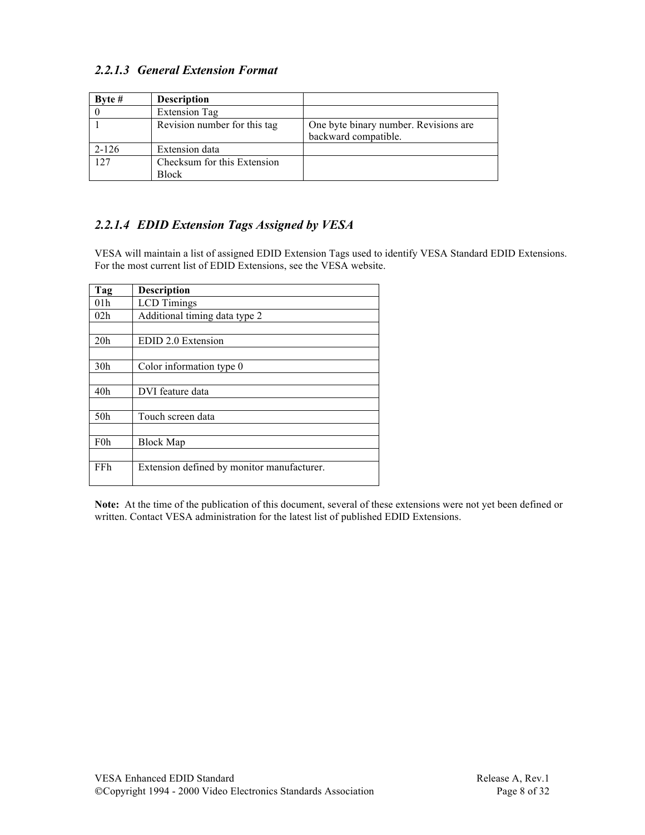## *2.2.1.3 General Extension Format*

| Byte #    | <b>Description</b>                          |                                                               |
|-----------|---------------------------------------------|---------------------------------------------------------------|
|           | <b>Extension Tag</b>                        |                                                               |
|           | Revision number for this tag                | One byte binary number. Revisions are<br>backward compatible. |
| $2 - 126$ | <b>Extension</b> data                       |                                                               |
| 127       | Checksum for this Extension<br><b>Block</b> |                                                               |

## *2.2.1.4 EDID Extension Tags Assigned by VESA*

VESA will maintain a list of assigned EDID Extension Tags used to identify VESA Standard EDID Extensions. For the most current list of EDID Extensions, see the VESA website.

| Tag              | <b>Description</b>                         |
|------------------|--------------------------------------------|
| 01 <sub>h</sub>  | <b>LCD</b> Timings                         |
| 02h              | Additional timing data type 2              |
|                  |                                            |
| 20 <sub>h</sub>  | EDID 2.0 Extension                         |
|                  |                                            |
| 30 <sub>h</sub>  | Color information type 0                   |
|                  |                                            |
| 40h              | DVI feature data                           |
|                  |                                            |
| 50 <sub>h</sub>  | Touch screen data                          |
|                  |                                            |
| F <sub>0</sub> h | <b>Block Map</b>                           |
|                  |                                            |
| FFh              | Extension defined by monitor manufacturer. |
|                  |                                            |

**Note:** At the time of the publication of this document, several of these extensions were not yet been defined or written. Contact VESA administration for the latest list of published EDID Extensions.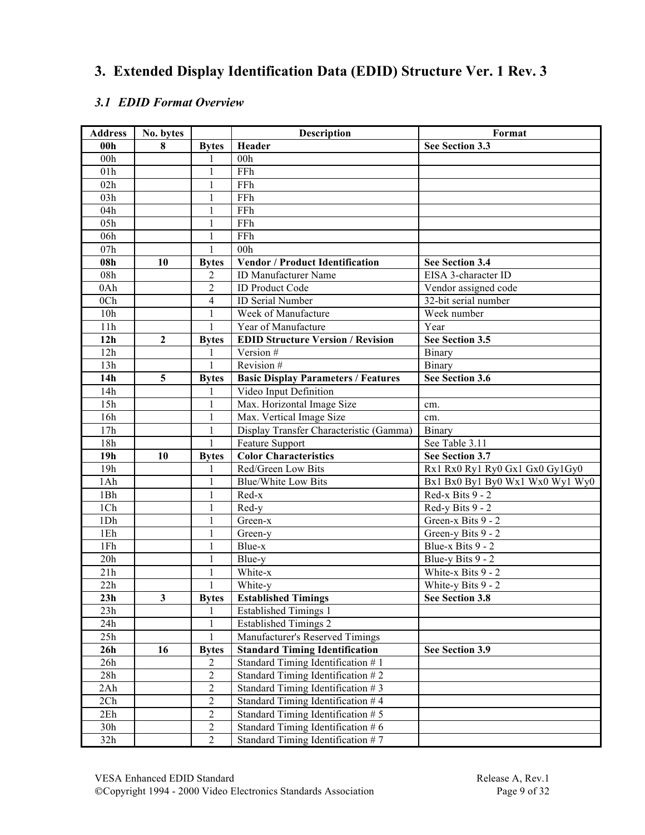# **3. Extended Display Identification Data (EDID) Structure Ver. 1 Rev. 3**

## *3.1 EDID Format Overview*

| <b>Address</b>  | No. bytes      |                | <b>Description</b>                         | Format                          |
|-----------------|----------------|----------------|--------------------------------------------|---------------------------------|
| 00 <sub>h</sub> | 8              | <b>Bytes</b>   | Header                                     | See Section 3.3                 |
| 00h             |                |                | 00 <sub>h</sub>                            |                                 |
| 01h             |                | 1              | FFh                                        |                                 |
| 02h             |                | 1              | FFh                                        |                                 |
| 03h             |                | 1              | FFh                                        |                                 |
| 04h             |                | 1              | FFh                                        |                                 |
| 05h             |                | 1              | FFh                                        |                                 |
| 06h             |                | 1              | FFh                                        |                                 |
| 07h             |                | 1              | 00 <sub>h</sub>                            |                                 |
| 08h             | 10             | <b>Bytes</b>   | <b>Vendor / Product Identification</b>     | See Section 3.4                 |
| 08h             |                | 2              | ID Manufacturer Name                       | EISA 3-character ID             |
| 0Ah             |                | $\overline{2}$ | <b>ID Product Code</b>                     | Vendor assigned code            |
| 0 <sub>Ch</sub> |                | $\overline{4}$ | <b>ID Serial Number</b>                    | 32-bit serial number            |
| 10h             |                | 1              | Week of Manufacture                        | Week number                     |
| 11h             |                | 1              | Year of Manufacture                        | Year                            |
| 12h             | $\overline{2}$ | <b>Bytes</b>   | <b>EDID Structure Version / Revision</b>   | See Section 3.5                 |
| 12h             |                | 1              | Version #                                  | Binary                          |
| 13h             |                | 1              | Revision #                                 | Binary                          |
| 14h             | 5              | <b>Bytes</b>   | <b>Basic Display Parameters / Features</b> | <b>See Section 3.6</b>          |
| 14h             |                |                | Video Input Definition                     |                                 |
| 15h             |                |                | Max. Horizontal Image Size                 | cm.                             |
| 16h             |                | 1              | Max. Vertical Image Size                   | cm.                             |
| 17h             |                | 1              | Display Transfer Characteristic (Gamma)    | Binary                          |
| 18h             |                | 1              | Feature Support                            | See Table 3.11                  |
| 19 <sub>h</sub> | 10             | <b>Bytes</b>   | <b>Color Characteristics</b>               | See Section 3.7                 |
| 19h             |                |                | Red/Green Low Bits                         | Rx1 Rx0 Ry1 Ry0 Gx1 Gx0 Gy1Gy0  |
| 1Ah             |                | 1              | <b>Blue/White Low Bits</b>                 | Bx1 Bx0 By1 By0 Wx1 Wx0 Wy1 Wy0 |
| 1Bh             |                | 1              | Red-x                                      | Red-x Bits 9 - 2                |
| 1Ch             |                |                | Red-y                                      | Red-y Bits 9 - 2                |
| 1Dh             |                | 1              | Green-x                                    | Green-x Bits 9 - 2              |
| 1Eh             |                | 1              | Green-y                                    | Green-y Bits 9 - 2              |
| 1Fh             |                | 1              | Blue-x                                     | Blue-x Bits 9 - 2               |
| 20h             |                |                | Blue-y                                     | Blue-y Bits 9 - 2               |
| 21h             |                | 1              | White-x                                    | White-x Bits 9 - 2              |
| 22h             |                | 1              | White-y                                    | White-y Bits 9 - 2              |
| 23h             | $\mathbf{3}$   | <b>Bytes</b>   | <b>Established Timings</b>                 | See Section 3.8                 |
| 23h             |                |                | <b>Established Timings 1</b>               |                                 |
| 24h             |                |                | <b>Established Timings 2</b>               |                                 |
| 25h             |                |                | Manufacturer's Reserved Timings            |                                 |
| 26h             | 16             | <b>Bytes</b>   | <b>Standard Timing Identification</b>      | See Section 3.9                 |
| 26h             |                | 2              | Standard Timing Identification $# 1$       |                                 |
| 28h             |                | 2              | Standard Timing Identification $# 2$       |                                 |
| 2Ah             |                | $\overline{2}$ | Standard Timing Identification $# 3$       |                                 |
| 2Ch             |                | $\overline{2}$ | Standard Timing Identification #4          |                                 |
| 2Eh             |                | $\overline{2}$ | Standard Timing Identification #5          |                                 |
| 30h             |                | $\overline{2}$ | Standard Timing Identification $# 6$       |                                 |
| 32h             |                | $\overline{2}$ | Standard Timing Identification $# 7$       |                                 |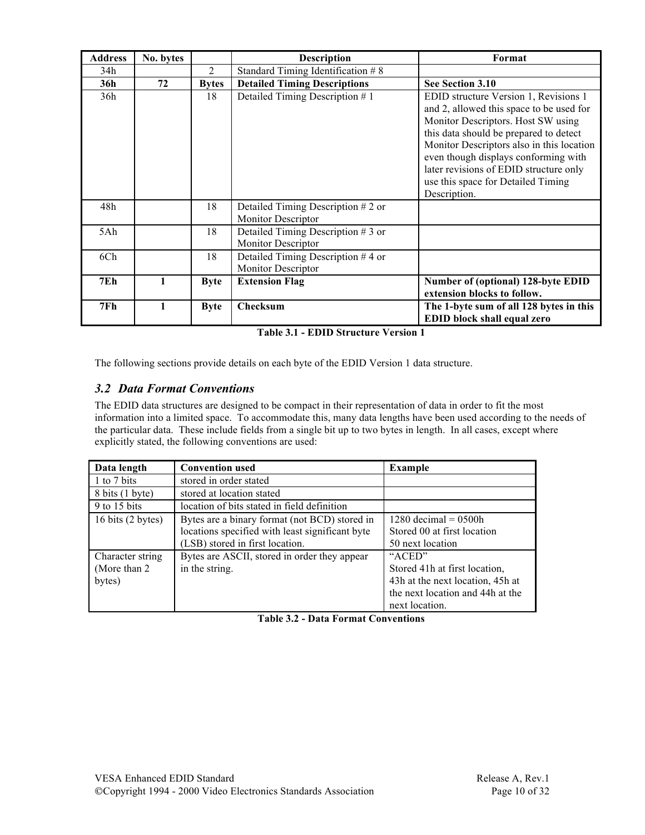| <b>Address</b> | No. bytes |              | <b>Description</b>                                                | Format                                                                                                                                                                                                                                                                                                                                                 |
|----------------|-----------|--------------|-------------------------------------------------------------------|--------------------------------------------------------------------------------------------------------------------------------------------------------------------------------------------------------------------------------------------------------------------------------------------------------------------------------------------------------|
| 34h            |           | 2            | Standard Timing Identification $#8$                               |                                                                                                                                                                                                                                                                                                                                                        |
| 36h            | 72        | <b>Bytes</b> | <b>Detailed Timing Descriptions</b>                               | See Section 3.10                                                                                                                                                                                                                                                                                                                                       |
| 36h            |           | 18           | Detailed Timing Description #1                                    | EDID structure Version 1, Revisions 1<br>and 2, allowed this space to be used for<br>Monitor Descriptors. Host SW using<br>this data should be prepared to detect<br>Monitor Descriptors also in this location<br>even though displays conforming with<br>later revisions of EDID structure only<br>use this space for Detailed Timing<br>Description. |
| 48h            |           | 18           | Detailed Timing Description $# 2$ or<br><b>Monitor Descriptor</b> |                                                                                                                                                                                                                                                                                                                                                        |
| 5Ah            |           | 18           | Detailed Timing Description $# 3$ or<br><b>Monitor Descriptor</b> |                                                                                                                                                                                                                                                                                                                                                        |
| 6Ch            |           | 18           | Detailed Timing Description $#4$ or<br><b>Monitor Descriptor</b>  |                                                                                                                                                                                                                                                                                                                                                        |
| 7Eh            |           | <b>Byte</b>  | <b>Extension Flag</b>                                             | Number of (optional) 128-byte EDID<br>extension blocks to follow.                                                                                                                                                                                                                                                                                      |
| 7Fh            |           | <b>Byte</b>  | <b>Checksum</b>                                                   | The 1-byte sum of all 128 bytes in this<br>EDID block shall equal zero                                                                                                                                                                                                                                                                                 |

**Table 3.1 - EDID Structure Version 1**

The following sections provide details on each byte of the EDID Version 1 data structure.

#### *3.2 Data Format Conventions*

The EDID data structures are designed to be compact in their representation of data in order to fit the most information into a limited space. To accommodate this, many data lengths have been used according to the needs of the particular data. These include fields from a single bit up to two bytes in length. In all cases, except where explicitly stated, the following conventions are used:

| Data length                 | <b>Convention used</b>                          | <b>Example</b>                   |
|-----------------------------|-------------------------------------------------|----------------------------------|
| 1 to 7 bits                 | stored in order stated                          |                                  |
| 8 bits (1 byte)             | stored at location stated                       |                                  |
| 9 to 15 bits                | location of bits stated in field definition     |                                  |
| 16 bits $(2 \text{ bytes})$ | Bytes are a binary format (not BCD) stored in   | $1280 \text{ decimal} = 0500h$   |
|                             | locations specified with least significant byte | Stored 00 at first location      |
|                             | (LSB) stored in first location.                 | 50 next location                 |
| Character string            | Bytes are ASCII, stored in order they appear    | "ACED"                           |
| (More than 2)               | in the string.                                  | Stored 41h at first location.    |
| bytes)                      |                                                 | 43h at the next location, 45h at |
|                             |                                                 | the next location and 44h at the |
|                             |                                                 | next location.                   |

| <b>Table 3.2 - Data Format Conventions</b> |  |  |
|--------------------------------------------|--|--|
|--------------------------------------------|--|--|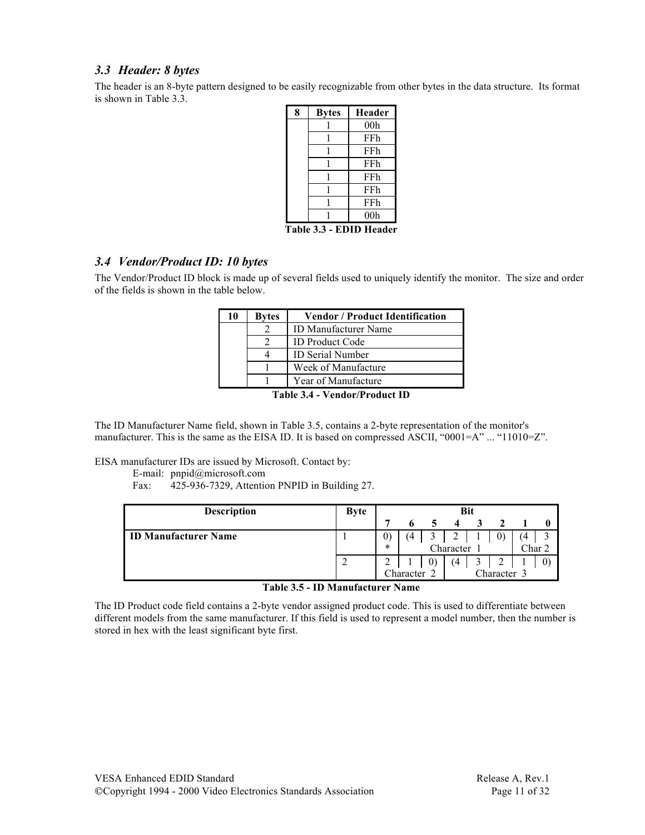#### *3.3 Header: 8 bytes*

The header is an 8-byte pattern designed to be easily recognizable from other bytes in the data structure. Its format is shown in Table 3.3.

| <b>Bytes</b> | <b>Header</b>   |
|--------------|-----------------|
|              | 00 <sub>h</sub> |
|              | FFh             |
|              | FFh             |
|              | FFh             |
|              | FFh             |
|              | FFh             |
|              | FFh             |
|              | 00 <sub>h</sub> |
|              |                 |

**Table 3.3 - EDID Header**

#### *3.4 Vendor/Product ID: 10 bytes*

The Vendor/Product ID block is made up of several fields used to uniquely identify the monitor. The size and order of the fields is shown in the table below.

| 10 | <b>Bytes</b> | <b>Vendor / Product Identification</b>                                          |
|----|--------------|---------------------------------------------------------------------------------|
|    |              | <b>ID Manufacturer Name</b>                                                     |
|    |              | <b>ID Product Code</b>                                                          |
|    |              | ID Serial Number                                                                |
|    |              | Week of Manufacture                                                             |
|    |              | Year of Manufacture                                                             |
|    | m            | $\bullet$ $\bullet$ $\bullet$ $\bullet$ $\bullet$ $\bullet$<br>$\sqrt{2}$<br>п. |

**Table 3.4 - Vendor/Product ID**

The ID Manufacturer Name field, shown in Table 3.5, contains a 2-byte representation of the monitor's manufacturer. This is the same as the EISA ID. It is based on compressed ASCII, "0001=A" ... "11010=Z".

EISA manufacturer IDs are issued by Microsoft. Contact by:

E-mail: pnpid@microsoft.com

Fax: 425-936-7329, Attention PNPID in Building 27.

| <b>Description</b>          | <b>Byte</b> |                          |           |  | <b>Bit</b> |        |                |
|-----------------------------|-------------|--------------------------|-----------|--|------------|--------|----------------|
|                             |             |                          |           |  |            |        |                |
| <b>ID Manufacturer Name</b> |             |                          |           |  |            |        |                |
|                             |             | $\ast$                   | Character |  |            | Char 2 |                |
|                             |             |                          |           |  |            |        | $\overline{0}$ |
|                             |             | Character 3<br>Character |           |  |            |        |                |

**Table 3.5 - ID Manufacturer Name**

The ID Product code field contains a 2-byte vendor assigned product code. This is used to differentiate between different models from the same manufacturer. If this field is used to represent a model number, then the number is stored in hex with the least significant byte first.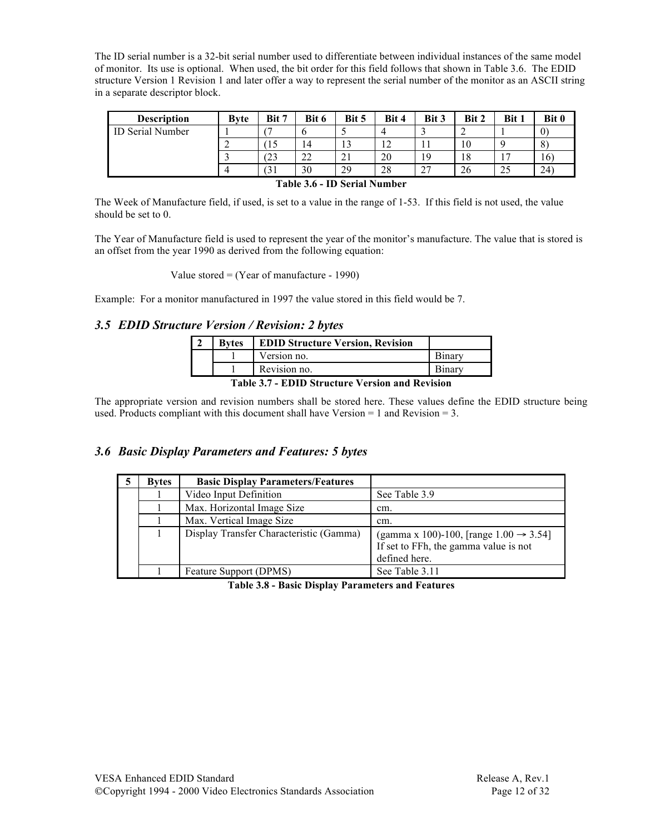The ID serial number is a 32-bit serial number used to differentiate between individual instances of the same model of monitor. Its use is optional. When used, the bit order for this field follows that shown in Table 3.6. The EDID structure Version 1 Revision 1 and later offer a way to represent the serial number of the monitor as an ASCII string in a separate descriptor block.

| <b>Description</b>      | <b>Byte</b> | Bit 7 | Bit 6               | Bit 5                     | Bit 4                  | Bit 3       | Bit 2 | Bit 1          | Bit 0                   |
|-------------------------|-------------|-------|---------------------|---------------------------|------------------------|-------------|-------|----------------|-------------------------|
| <b>ID Serial Number</b> |             |       |                     |                           |                        |             |       |                | $\left( 0\right)$       |
|                         |             | `15   | 14                  | 12<br>10                  | 1 <sub>2</sub><br>- ⊥∠ |             | 10    |                | $\mathbf{O}$<br>$\circ$ |
|                         |             | 23    | $\mathcal{L}$<br>∠∠ | $^{\sim}$ 1<br>$\angle$ 1 | 20                     | 19          | 18    |                | 16 <sup>°</sup>         |
|                         |             | ЭI    | 30                  | 29                        | 28                     | $\sim$<br>∼ | 26    | $\Delta$<br>23 | 24                      |

**Table 3.6 - ID Serial Number**

The Week of Manufacture field, if used, is set to a value in the range of 1-53. If this field is not used, the value should be set to 0.

The Year of Manufacture field is used to represent the year of the monitor's manufacture. The value that is stored is an offset from the year 1990 as derived from the following equation:

Value stored = (Year of manufacture - 1990)

Example: For a monitor manufactured in 1997 the value stored in this field would be 7.

#### *3.5 EDID Structure Version / Revision: 2 bytes*

| <b>Bytes</b>                                  | <b>EDID Structure Version, Revision</b> |        |  |  |
|-----------------------------------------------|-----------------------------------------|--------|--|--|
|                                               | Version no.                             | Binary |  |  |
|                                               | Revision no.                            | Binary |  |  |
| Table 2.7 FDID Structure Version and Devision |                                         |        |  |  |

**Table 3.7 - EDID Structure Version and Revision**

The appropriate version and revision numbers shall be stored here. These values define the EDID structure being used. Products compliant with this document shall have Version  $= 1$  and Revision  $= 3$ .

#### *3.6 Basic Display Parameters and Features: 5 bytes*

| <b>Bytes</b> | <b>Basic Display Parameters/Features</b> |                                                                                                               |
|--------------|------------------------------------------|---------------------------------------------------------------------------------------------------------------|
|              | Video Input Definition                   | See Table 3.9                                                                                                 |
|              | Max. Horizontal Image Size               | cm.                                                                                                           |
|              | Max. Vertical Image Size                 | cm.                                                                                                           |
|              | Display Transfer Characteristic (Gamma)  | (gamma x 100)-100, [range $1.00 \rightarrow 3.54$ ]<br>If set to FFh, the gamma value is not<br>defined here. |
|              | Feature Support (DPMS)                   | See Table 3.11                                                                                                |

**Table 3.8 - Basic Display Parameters and Features**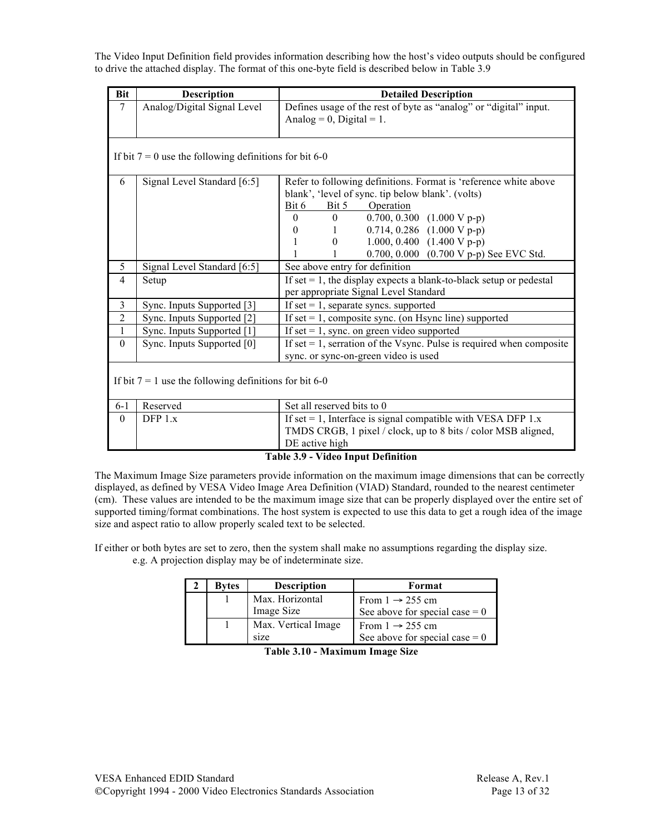The Video Input Definition field provides information describing how the host's video outputs should be configured to drive the attached display. The format of this one-byte field is described below in Table 3.9

| <b>Bit</b>     | <b>Description</b>                                       | <b>Detailed Description</b>                                                  |  |  |  |  |
|----------------|----------------------------------------------------------|------------------------------------------------------------------------------|--|--|--|--|
| $\tau$         | Analog/Digital Signal Level                              | Defines usage of the rest of byte as "analog" or "digital" input.            |  |  |  |  |
|                |                                                          | Analog = 0, Digital = 1.                                                     |  |  |  |  |
|                |                                                          |                                                                              |  |  |  |  |
|                |                                                          |                                                                              |  |  |  |  |
|                | If bit $7 = 0$ use the following definitions for bit 6-0 |                                                                              |  |  |  |  |
|                |                                                          |                                                                              |  |  |  |  |
| 6              | Signal Level Standard [6:5]                              | Refer to following definitions. Format is 'reference white above             |  |  |  |  |
|                |                                                          | blank', 'level of sync. tip below blank'. (volts)                            |  |  |  |  |
|                |                                                          | Operation<br>Bit 6<br>Bit 5                                                  |  |  |  |  |
|                |                                                          | 0.700, 0.300 $(1.000 \text{ V p-p})$<br>$\Omega$<br>$\overline{0}$           |  |  |  |  |
|                |                                                          | 0.714, 0.286 $(1.000 V p-p)$<br>$\boldsymbol{0}$<br>$1 -$                    |  |  |  |  |
|                |                                                          | 1.000, 0.400 $(1.400 \text{ V p-p})$<br>1<br>$\begin{matrix} 0 \end{matrix}$ |  |  |  |  |
|                |                                                          | 0.700, 0.000 (0.700 V p-p) See EVC Std.<br>1<br>1                            |  |  |  |  |
| 5              | Signal Level Standard [6:5]                              | See above entry for definition                                               |  |  |  |  |
| 4              | Setup                                                    | If set $= 1$ , the display expects a blank-to-black setup or pedestal        |  |  |  |  |
|                |                                                          | per appropriate Signal Level Standard                                        |  |  |  |  |
| $\overline{3}$ | Sync. Inputs Supported [3]                               | If set $= 1$ , separate syncs. supported                                     |  |  |  |  |
| $\overline{2}$ | Sync. Inputs Supported [2]                               | If set $= 1$ , composite sync. (on Hsync line) supported                     |  |  |  |  |
| $\mathbf{1}$   | Sync. Inputs Supported [1]                               | If set $= 1$ , sync. on green video supported                                |  |  |  |  |
| $\theta$       | Sync. Inputs Supported [0]                               | If set $= 1$ , serration of the Vsync. Pulse is required when composite      |  |  |  |  |
|                |                                                          | sync. or sync-on-green video is used                                         |  |  |  |  |
|                |                                                          |                                                                              |  |  |  |  |
|                | If bit $7 = 1$ use the following definitions for bit 6-0 |                                                                              |  |  |  |  |
|                |                                                          |                                                                              |  |  |  |  |
| $6 - 1$        | Reserved                                                 | Set all reserved bits to 0                                                   |  |  |  |  |
| $\theta$       | DFP $1.x$                                                | If set = 1, Interface is signal compatible with VESA DFP $1.x$               |  |  |  |  |
|                |                                                          | TMDS CRGB, 1 pixel / clock, up to 8 bits / color MSB aligned,                |  |  |  |  |
|                |                                                          | DE active high                                                               |  |  |  |  |
|                |                                                          |                                                                              |  |  |  |  |

#### **Table 3.9 - Video Input Definition**

The Maximum Image Size parameters provide information on the maximum image dimensions that can be correctly displayed, as defined by VESA Video Image Area Definition (VIAD) Standard, rounded to the nearest centimeter (cm). These values are intended to be the maximum image size that can be properly displayed over the entire set of supported timing/format combinations. The host system is expected to use this data to get a rough idea of the image size and aspect ratio to allow properly scaled text to be selected.

If either or both bytes are set to zero, then the system shall make no assumptions regarding the display size. e.g. A projection display may be of indeterminate size.

| Bytes | <b>Description</b>  | Format                           |
|-------|---------------------|----------------------------------|
|       | Max. Horizontal     | From $1 \rightarrow 255$ cm      |
|       | Image Size          | See above for special case $= 0$ |
|       | Max. Vertical Image | From $1 \rightarrow 255$ cm      |
|       | size                | See above for special case $= 0$ |

**Table 3.10 - Maximum Image Size**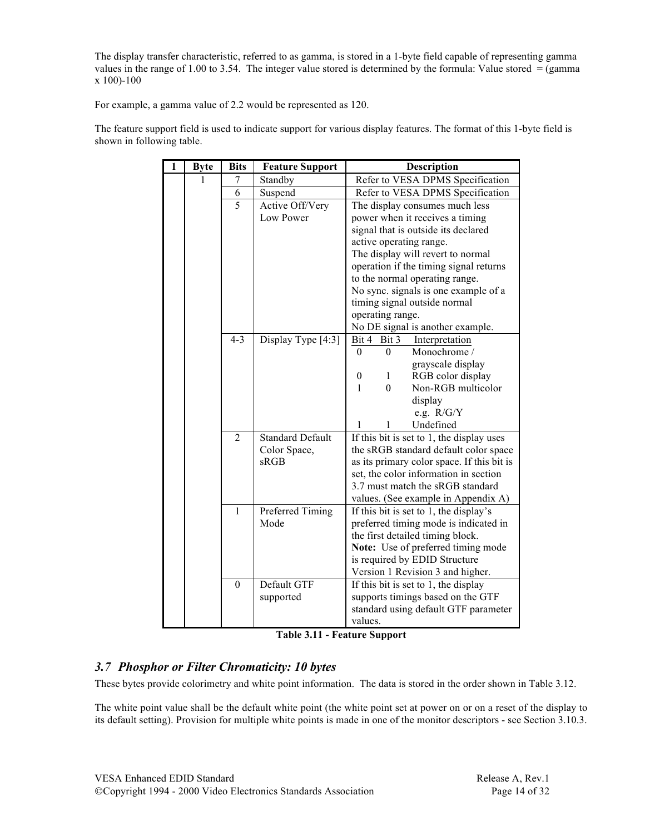The display transfer characteristic, referred to as gamma, is stored in a 1-byte field capable of representing gamma values in the range of 1.00 to 3.54. The integer value stored is determined by the formula: Value stored  $=$  (gamma x 100)-100

For example, a gamma value of 2.2 would be represented as 120.

The feature support field is used to indicate support for various display features. The format of this 1-byte field is shown in following table.

| $\overline{1}$ | <b>Byte</b> | <b>Bits</b>    | <b>Feature Support</b>   | Description                                                       |
|----------------|-------------|----------------|--------------------------|-------------------------------------------------------------------|
|                |             | 7              | Standby                  | Refer to VESA DPMS Specification                                  |
|                |             | 6              | Suspend                  | Refer to VESA DPMS Specification                                  |
|                |             | 5              | Active Off/Very          | The display consumes much less                                    |
|                |             |                | Low Power                | power when it receives a timing                                   |
|                |             |                |                          | signal that is outside its declared                               |
|                |             |                |                          | active operating range.                                           |
|                |             |                |                          | The display will revert to normal                                 |
|                |             |                |                          | operation if the timing signal returns                            |
|                |             |                |                          | to the normal operating range.                                    |
|                |             |                |                          | No sync. signals is one example of a                              |
|                |             |                |                          | timing signal outside normal                                      |
|                |             |                |                          | operating range.                                                  |
|                |             |                |                          | No DE signal is another example.                                  |
|                |             | $4 - 3$        | Display Type [4:3]       | Bit 4 Bit 3<br>Interpretation                                     |
|                |             |                |                          | Monochrome /<br>$\theta$<br>0                                     |
|                |             |                |                          | grayscale display                                                 |
|                |             |                |                          | RGB color display<br>1<br>0                                       |
|                |             |                |                          | $\overline{0}$<br>Non-RGB multicolor<br>1                         |
|                |             |                |                          | display                                                           |
|                |             |                |                          | e.g. $R/G/Y$                                                      |
|                |             |                |                          | Undefined<br>1<br>1                                               |
|                |             | $\overline{2}$ | <b>Standard Default</b>  | If this bit is set to 1, the display uses                         |
|                |             |                | Color Space,             | the sRGB standard default color space                             |
|                |             |                | sRGB                     | as its primary color space. If this bit is                        |
|                |             |                |                          | set, the color information in section                             |
|                |             |                |                          | 3.7 must match the sRGB standard                                  |
|                |             |                |                          | values. (See example in Appendix A)                               |
|                |             | 1              | Preferred Timing<br>Mode | If this bit is set to 1, the display's                            |
|                |             |                |                          | preferred timing mode is indicated in                             |
|                |             |                |                          | the first detailed timing block.                                  |
|                |             |                |                          | Note: Use of preferred timing mode                                |
|                |             |                |                          | is required by EDID Structure<br>Version 1 Revision 3 and higher. |
|                |             | $\overline{0}$ | Default GTF              | If this bit is set to 1, the display                              |
|                |             |                | supported                | supports timings based on the GTF                                 |
|                |             |                |                          | standard using default GTF parameter                              |
|                |             |                |                          | values.                                                           |
|                |             |                |                          |                                                                   |

**Table 3.11 - Feature Support**

#### *3.7 Phosphor or Filter Chromaticity: 10 bytes*

These bytes provide colorimetry and white point information. The data is stored in the order shown in Table 3.12.

The white point value shall be the default white point (the white point set at power on or on a reset of the display to its default setting). Provision for multiple white points is made in one of the monitor descriptors - see Section 3.10.3.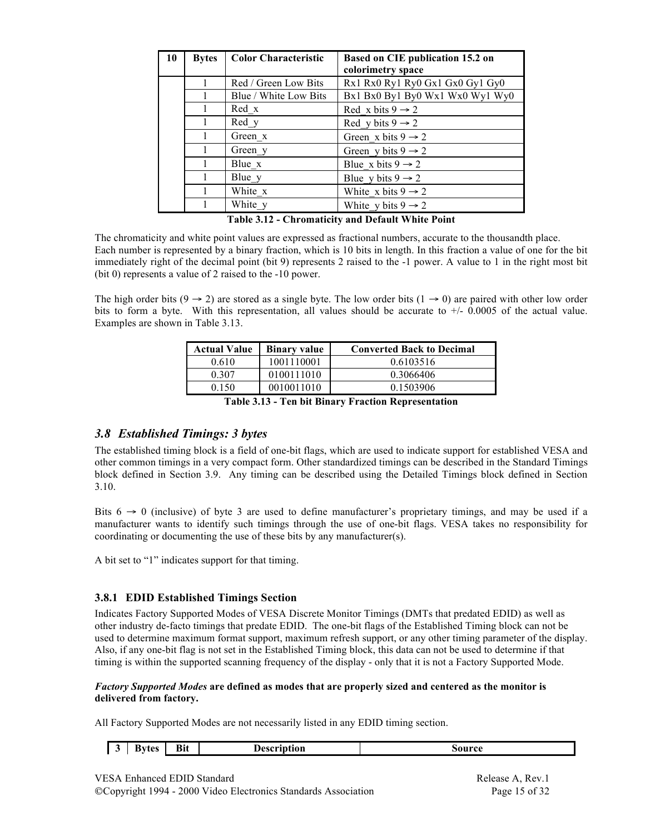| 10 | <b>Bytes</b> | <b>Color Characteristic</b> | Based on CIE publication 15.2 on |
|----|--------------|-----------------------------|----------------------------------|
|    |              |                             | colorimetry space                |
|    |              | Red / Green Low Bits        | Rx1 Rx0 Ry1 Ry0 Gx1 Gx0 Gy1 Gy0  |
|    |              | Blue / White Low Bits       | Bx1 Bx0 By1 By0 Wx1 Wx0 Wy1 Wy0  |
|    |              | Red x                       | Red x bits $9 \rightarrow 2$     |
|    | 1            | Red y                       | Red y bits $9 \rightarrow 2$     |
|    |              | Green x                     | Green x bits $9 \rightarrow 2$   |
|    |              | Green y                     | Green y bits $9 \rightarrow 2$   |
|    |              | Blue x                      | Blue x bits $9 \rightarrow 2$    |
|    |              | Blue_y                      | Blue y bits $9 \rightarrow 2$    |
|    |              | White x                     | White x bits $9 \rightarrow 2$   |
|    |              | White y                     | White y bits $9 \rightarrow 2$   |

The chromaticity and white point values are expressed as fractional numbers, accurate to the thousandth place. Each number is represented by a binary fraction, which is 10 bits in length. In this fraction a value of one for the bit immediately right of the decimal point (bit 9) represents 2 raised to the -1 power. A value to 1 in the right most bit (bit 0) represents a value of 2 raised to the -10 power.

The high order bits (9  $\rightarrow$  2) are stored as a single byte. The low order bits (1  $\rightarrow$  0) are paired with other low order bits to form a byte. With this representation, all values should be accurate to  $+/- 0.0005$  of the actual value. Examples are shown in Table 3.13.

| Actual Value | <b>Binary value</b> | <b>Converted Back to Decimal</b> |
|--------------|---------------------|----------------------------------|
| 0.610        | 1001110001          | 0.6103516                        |
| 0.307        | 0100111010          | 0.3066406                        |
| 0.150        | 0010011010          | 0.1503906                        |
| ___          | - - - -             |                                  |

| Table 3.13 - Ten bit Binary Fraction Representation |
|-----------------------------------------------------|
|-----------------------------------------------------|

#### *3.8 Established Timings: 3 bytes*

The established timing block is a field of one-bit flags, which are used to indicate support for established VESA and other common timings in a very compact form. Other standardized timings can be described in the Standard Timings block defined in Section 3.9. Any timing can be described using the Detailed Timings block defined in Section 3.10.

Bits  $6 \rightarrow 0$  (inclusive) of byte 3 are used to define manufacturer's proprietary timings, and may be used if a manufacturer wants to identify such timings through the use of one-bit flags. VESA takes no responsibility for coordinating or documenting the use of these bits by any manufacturer(s).

A bit set to "1" indicates support for that timing.

#### **3.8.1 EDID Established Timings Section**

Indicates Factory Supported Modes of VESA Discrete Monitor Timings (DMTs that predated EDID) as well as other industry de-facto timings that predate EDID. The one-bit flags of the Established Timing block can not be used to determine maximum format support, maximum refresh support, or any other timing parameter of the display. Also, if any one-bit flag is not set in the Established Timing block, this data can not be used to determine if that timing is within the supported scanning frequency of the display - only that it is not a Factory Supported Mode.

#### *Factory Supported Modes* **are defined as modes that are properly sized and centered as the monitor is delivered from factory.**

All Factory Supported Modes are not necessarily listed in any EDID timing section.

| Kvtec<br>n.<br>$-1$<br>-- | $\blacksquare$<br>.<br>,,,,<br>--- | Descr<br>scription<br>. | source |
|---------------------------|------------------------------------|-------------------------|--------|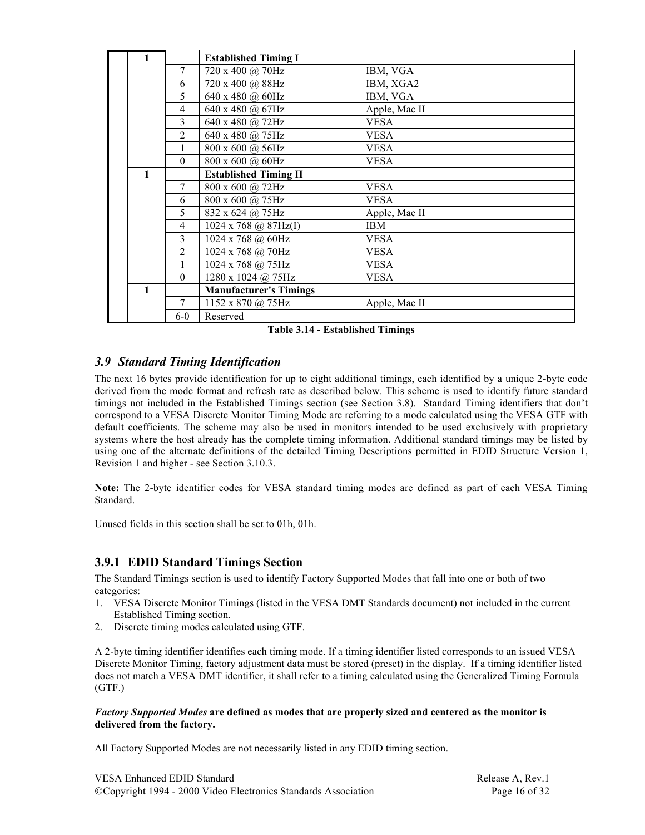| 1            |                              | <b>Established Timing I</b>   |               |
|--------------|------------------------------|-------------------------------|---------------|
|              | 7                            | 720 x 400 @ 70Hz              | IBM, VGA      |
|              | 6                            | 720 x 400 @ 88Hz              | IBM, XGA2     |
|              | 5                            | 640 x 480 @ 60Hz              | IBM, VGA      |
|              | 4                            | 640 x 480 @ 67Hz              | Apple, Mac II |
|              | 3                            | 640 x 480 @ 72Hz              | <b>VESA</b>   |
|              | $\overline{2}$               | 640 x 480 @ 75Hz              | <b>VESA</b>   |
|              | 1                            | 800 x 600 @ 56Hz              | <b>VESA</b>   |
|              | $\Omega$                     | 800 x 600 @ 60Hz              | <b>VESA</b>   |
| $\mathbf{1}$ | <b>Established Timing II</b> |                               |               |
|              | 7                            | 800 x 600 @ 72Hz              | <b>VESA</b>   |
|              | 6                            | 800 x 600 @ 75Hz              | <b>VESA</b>   |
|              | 5                            | 832 x 624 @ 75Hz              | Apple, Mac II |
|              | $\overline{4}$               | 1024 x 768 @ 87Hz(I)          | <b>IBM</b>    |
|              | 3                            | 1024 x 768 @ 60Hz             | <b>VESA</b>   |
|              | $\overline{2}$               | 1024 x 768 @ 70Hz             | <b>VESA</b>   |
|              | $\mathbf{1}$                 | 1024 x 768 @ 75Hz             | <b>VESA</b>   |
|              | $\Omega$                     | 1280 x 1024 @ 75Hz            | <b>VESA</b>   |
| $\mathbf{1}$ |                              | <b>Manufacturer's Timings</b> |               |
|              | 7                            | 1152 x 870 @ 75Hz             | Apple, Mac II |
|              | $6-0$                        | Reserved                      |               |

**Table 3.14 - Established Timings**

### *3.9 Standard Timing Identification*

The next 16 bytes provide identification for up to eight additional timings, each identified by a unique 2-byte code derived from the mode format and refresh rate as described below. This scheme is used to identify future standard timings not included in the Established Timings section (see Section 3.8). Standard Timing identifiers that don't correspond to a VESA Discrete Monitor Timing Mode are referring to a mode calculated using the VESA GTF with default coefficients. The scheme may also be used in monitors intended to be used exclusively with proprietary systems where the host already has the complete timing information. Additional standard timings may be listed by using one of the alternate definitions of the detailed Timing Descriptions permitted in EDID Structure Version 1, Revision 1 and higher - see Section 3.10.3.

**Note:** The 2-byte identifier codes for VESA standard timing modes are defined as part of each VESA Timing Standard.

Unused fields in this section shall be set to 01h, 01h.

### **3.9.1 EDID Standard Timings Section**

The Standard Timings section is used to identify Factory Supported Modes that fall into one or both of two categories:

- 1. VESA Discrete Monitor Timings (listed in the VESA DMT Standards document) not included in the current Established Timing section.
- 2. Discrete timing modes calculated using GTF.

A 2-byte timing identifier identifies each timing mode. If a timing identifier listed corresponds to an issued VESA Discrete Monitor Timing, factory adjustment data must be stored (preset) in the display. If a timing identifier listed does not match a VESA DMT identifier, it shall refer to a timing calculated using the Generalized Timing Formula (GTF.)

#### *Factory Supported Modes* **are defined as modes that are properly sized and centered as the monitor is delivered from the factory.**

All Factory Supported Modes are not necessarily listed in any EDID timing section.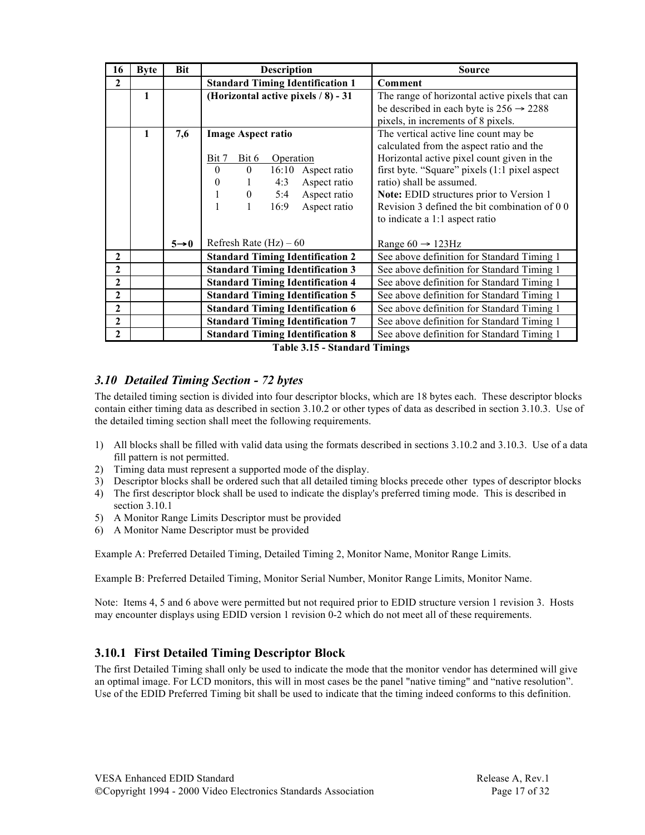| <b>Byte</b> | <b>Bit</b> | <b>Description</b>                            | <b>Source</b>                                                                                                                                                |  |  |
|-------------|------------|-----------------------------------------------|--------------------------------------------------------------------------------------------------------------------------------------------------------------|--|--|
|             |            | <b>Standard Timing Identification 1</b>       | Comment                                                                                                                                                      |  |  |
| 1           |            | (Horizontal active pixels / 8) - 31           | The range of horizontal active pixels that can                                                                                                               |  |  |
|             |            |                                               | be described in each byte is $256 \rightarrow 2288$                                                                                                          |  |  |
|             |            |                                               | pixels, in increments of 8 pixels.                                                                                                                           |  |  |
| 1           | 7,6        | <b>Image Aspect ratio</b>                     | The vertical active line count may be                                                                                                                        |  |  |
|             |            |                                               | calculated from the aspect ratio and the                                                                                                                     |  |  |
|             |            | Bit 7<br>Bit 6                                | Horizontal active pixel count given in the                                                                                                                   |  |  |
|             |            | $\theta$<br>16:10<br>$\theta$<br>Aspect ratio | first byte. "Square" pixels (1:1 pixel aspect                                                                                                                |  |  |
|             |            | $\mathbf{0}$<br>4:3                           | ratio) shall be assumed.                                                                                                                                     |  |  |
|             |            | 5:4                                           | Note: EDID structures prior to Version 1                                                                                                                     |  |  |
|             |            | 1                                             | Revision 3 defined the bit combination of 0 0                                                                                                                |  |  |
|             |            |                                               | to indicate a 1:1 aspect ratio                                                                                                                               |  |  |
|             |            |                                               |                                                                                                                                                              |  |  |
|             |            |                                               | Range $60 \rightarrow 123$ Hz                                                                                                                                |  |  |
|             |            |                                               | See above definition for Standard Timing 1                                                                                                                   |  |  |
|             |            | <b>Standard Timing Identification 3</b>       | See above definition for Standard Timing 1                                                                                                                   |  |  |
|             |            | <b>Standard Timing Identification 4</b>       | See above definition for Standard Timing 1                                                                                                                   |  |  |
|             |            | <b>Standard Timing Identification 5</b>       | See above definition for Standard Timing 1                                                                                                                   |  |  |
|             |            | <b>Standard Timing Identification 6</b>       | See above definition for Standard Timing 1                                                                                                                   |  |  |
|             |            | <b>Standard Timing Identification 7</b>       | See above definition for Standard Timing 1                                                                                                                   |  |  |
|             |            | <b>Standard Timing Identification 8</b>       | See above definition for Standard Timing 1                                                                                                                   |  |  |
|             |            | $5 \rightarrow 0$                             | Operation<br>Aspect ratio<br>$\boldsymbol{0}$<br>Aspect ratio<br>16:9<br>Aspect ratio<br>Refresh Rate $(Hz) - 60$<br><b>Standard Timing Identification 2</b> |  |  |

**Table 3.15 - Standard Timings**

### *3.10 Detailed Timing Section - 72 bytes*

The detailed timing section is divided into four descriptor blocks, which are 18 bytes each. These descriptor blocks contain either timing data as described in section 3.10.2 or other types of data as described in section 3.10.3. Use of the detailed timing section shall meet the following requirements.

- 1) All blocks shall be filled with valid data using the formats described in sections 3.10.2 and 3.10.3. Use of a data fill pattern is not permitted.
- 2) Timing data must represent a supported mode of the display.
- 3) Descriptor blocks shall be ordered such that all detailed timing blocks precede other types of descriptor blocks
- 4) The first descriptor block shall be used to indicate the display's preferred timing mode. This is described in section 3.10.1
- 5) A Monitor Range Limits Descriptor must be provided
- 6) A Monitor Name Descriptor must be provided

Example A: Preferred Detailed Timing, Detailed Timing 2, Monitor Name, Monitor Range Limits.

Example B: Preferred Detailed Timing, Monitor Serial Number, Monitor Range Limits, Monitor Name.

Note: Items 4, 5 and 6 above were permitted but not required prior to EDID structure version 1 revision 3. Hosts may encounter displays using EDID version 1 revision 0-2 which do not meet all of these requirements.

### **3.10.1 First Detailed Timing Descriptor Block**

The first Detailed Timing shall only be used to indicate the mode that the monitor vendor has determined will give an optimal image. For LCD monitors, this will in most cases be the panel "native timing" and "native resolution". Use of the EDID Preferred Timing bit shall be used to indicate that the timing indeed conforms to this definition.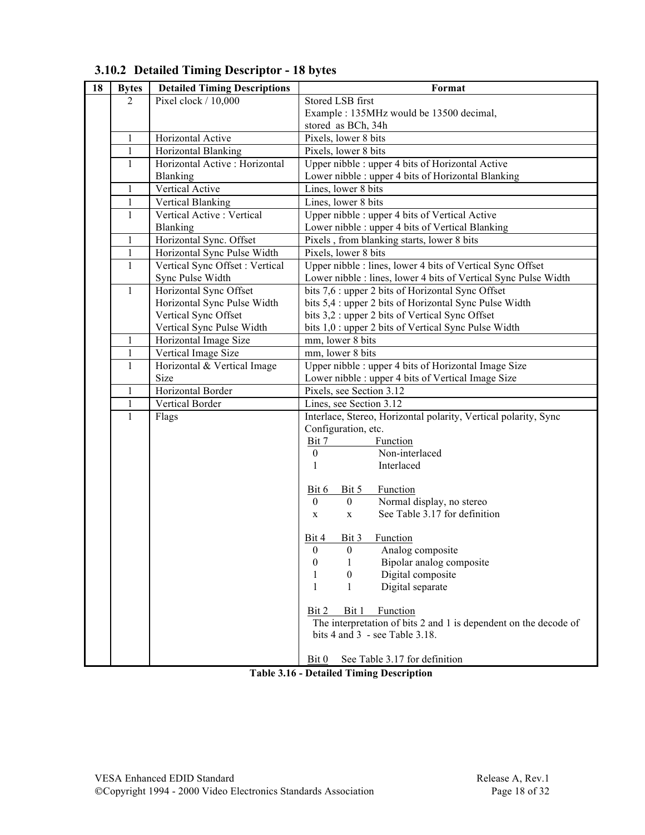| 18 | <b>Bytes</b> | <b>Detailed Timing Descriptions</b>               | Format                                                                                                  |  |  |
|----|--------------|---------------------------------------------------|---------------------------------------------------------------------------------------------------------|--|--|
|    | 2            | Pixel clock / 10,000                              | Stored LSB first                                                                                        |  |  |
|    |              |                                                   | Example : 135MHz would be 13500 decimal,                                                                |  |  |
|    |              |                                                   | stored as BCh, 34h                                                                                      |  |  |
|    | 1            | Horizontal Active                                 | Pixels, lower 8 bits                                                                                    |  |  |
|    | 1            | Horizontal Blanking                               | Pixels, lower 8 bits                                                                                    |  |  |
|    | $\mathbf{1}$ | Horizontal Active : Horizontal                    | Upper nibble : upper 4 bits of Horizontal Active                                                        |  |  |
|    |              | Blanking                                          | Lower nibble : upper 4 bits of Horizontal Blanking                                                      |  |  |
|    | $\mathbf{1}$ | Vertical Active                                   | Lines, lower 8 bits                                                                                     |  |  |
|    | $\mathbf{1}$ | Vertical Blanking                                 | Lines, lower 8 bits                                                                                     |  |  |
|    | $\mathbf{1}$ | Vertical Active : Vertical                        | Upper nibble : upper 4 bits of Vertical Active                                                          |  |  |
|    |              | Blanking                                          | Lower nibble : upper 4 bits of Vertical Blanking                                                        |  |  |
|    | $\mathbf{1}$ | Horizontal Sync. Offset                           | Pixels, from blanking starts, lower 8 bits                                                              |  |  |
|    | $\mathbf{1}$ | Horizontal Sync Pulse Width                       | Pixels, lower 8 bits                                                                                    |  |  |
|    | $\mathbf{1}$ | Vertical Sync Offset : Vertical                   | Upper nibble : lines, lower 4 bits of Vertical Sync Offset                                              |  |  |
|    |              | Sync Pulse Width                                  | Lower nibble : lines, lower 4 bits of Vertical Sync Pulse Width                                         |  |  |
|    | $\mathbf{1}$ | Horizontal Sync Offset                            | bits 7,6 : upper 2 bits of Horizontal Sync Offset                                                       |  |  |
|    |              | Horizontal Sync Pulse Width                       | bits 5,4 : upper 2 bits of Horizontal Sync Pulse Width                                                  |  |  |
|    |              | Vertical Sync Offset<br>Vertical Sync Pulse Width | bits 3,2 : upper 2 bits of Vertical Sync Offset<br>bits 1,0 : upper 2 bits of Vertical Sync Pulse Width |  |  |
|    | $\mathbf{1}$ | Horizontal Image Size                             | mm, lower 8 bits                                                                                        |  |  |
|    | $\,1$        | Vertical Image Size                               | mm, lower 8 bits                                                                                        |  |  |
|    | 1            | Horizontal & Vertical Image                       | Upper nibble : upper 4 bits of Horizontal Image Size                                                    |  |  |
|    |              | Size                                              | Lower nibble : upper 4 bits of Vertical Image Size                                                      |  |  |
|    | $\mathbf{1}$ | Horizontal Border                                 | Pixels, see Section 3.12                                                                                |  |  |
|    | $\mathbf{1}$ | Vertical Border                                   | Lines, see Section 3.12                                                                                 |  |  |
|    | $\mathbf{1}$ | Flags                                             | Interlace, Stereo, Horizontal polarity, Vertical polarity, Sync                                         |  |  |
|    |              |                                                   | Configuration, etc.                                                                                     |  |  |
|    |              |                                                   | Bit 7<br>Function                                                                                       |  |  |
|    |              |                                                   | Non-interlaced<br>$\boldsymbol{0}$                                                                      |  |  |
|    |              |                                                   | Interlaced<br>1                                                                                         |  |  |
|    |              |                                                   |                                                                                                         |  |  |
|    |              |                                                   | Function<br>Bit 6<br>Bit 5                                                                              |  |  |
|    |              |                                                   | $\mathbf{0}$<br>Normal display, no stereo<br>$\boldsymbol{0}$                                           |  |  |
|    |              |                                                   | See Table 3.17 for definition<br>X<br>$\mathbf{X}$                                                      |  |  |
|    |              |                                                   |                                                                                                         |  |  |
|    |              |                                                   | Bit 4<br>Bit 3 Function<br>$\boldsymbol{0}$<br>∩<br>Analog composite                                    |  |  |
|    |              |                                                   | Bipolar analog composite<br>0<br>1                                                                      |  |  |
|    |              |                                                   | Digital composite<br>0<br>1                                                                             |  |  |
|    |              |                                                   | Digital separate<br>1<br>1                                                                              |  |  |
|    |              |                                                   |                                                                                                         |  |  |
|    |              |                                                   | Bit 1<br>Function<br>Bit 2                                                                              |  |  |
|    |              |                                                   | The interpretation of bits 2 and 1 is dependent on the decode of                                        |  |  |
|    |              |                                                   | bits $4$ and $3$ - see Table $3.18$ .                                                                   |  |  |
|    |              |                                                   |                                                                                                         |  |  |
|    |              |                                                   | Bit 0<br>See Table 3.17 for definition                                                                  |  |  |

## **3.10.2 Detailed Timing Descriptor - 18 bytes**

**Table 3.16 - Detailed Timing Description**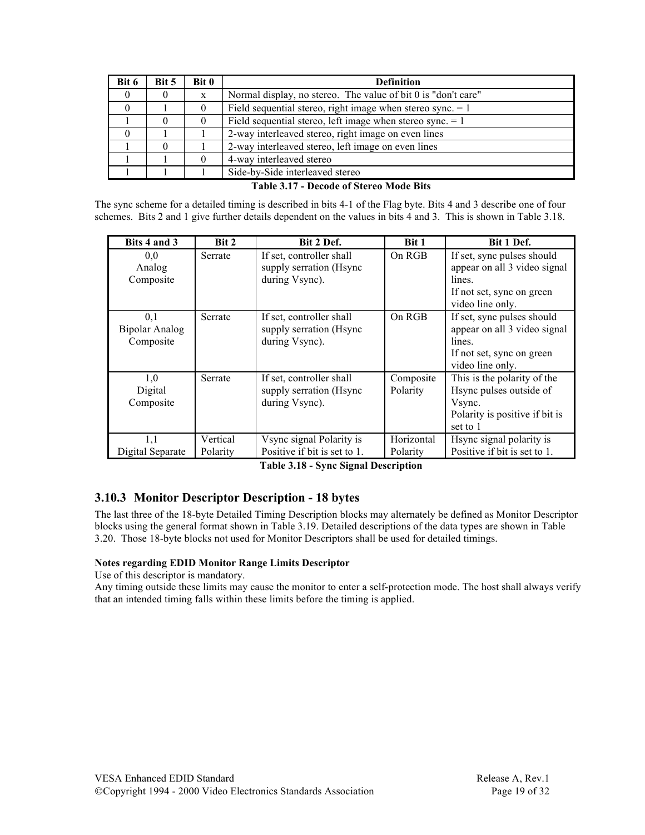| Bit 6    | Bit 5    | Bit 0 | <b>Definition</b>                                             |  |  |
|----------|----------|-------|---------------------------------------------------------------|--|--|
| $\theta$ | $\theta$ | X     | Normal display, no stereo. The value of bit 0 is "don't care" |  |  |
|          |          |       | Field sequential stereo, right image when stereo sync. $= 1$  |  |  |
|          | 0        |       | Field sequential stereo, left image when stereo sync. $= 1$   |  |  |
|          |          |       | 2-way interleaved stereo, right image on even lines           |  |  |
|          | $\theta$ |       | 2-way interleaved stereo, left image on even lines            |  |  |
|          |          |       | 4-way interleaved stereo                                      |  |  |
|          |          |       | Side-by-Side interleaved stereo                               |  |  |

**Table 3.17 - Decode of Stereo Mode Bits**

The sync scheme for a detailed timing is described in bits 4-1 of the Flag byte. Bits 4 and 3 describe one of four schemes. Bits 2 and 1 give further details dependent on the values in bits 4 and 3. This is shown in Table 3.18.

| Bits 4 and 3                              | Bit 2                | Bit 2 Def.                                                            | <b>Bit 1</b>           | Bit 1 Def.                                                                                                            |
|-------------------------------------------|----------------------|-----------------------------------------------------------------------|------------------------|-----------------------------------------------------------------------------------------------------------------------|
| 0.0<br>Analog<br>Composite                | Serrate              | If set, controller shall<br>supply serration (Hsync<br>during Vsync). | On RGB                 | If set, sync pulses should<br>appear on all 3 video signal<br>lines.<br>If not set, sync on green<br>video line only. |
| 0,1<br><b>Bipolar Analog</b><br>Composite | Serrate              | If set, controller shall<br>supply serration (Hsync<br>during Vsync). | On RGB                 | If set, sync pulses should<br>appear on all 3 video signal<br>lines.<br>If not set, sync on green<br>video line only. |
| 1,0<br>Digital<br>Composite               | Serrate              | If set, controller shall<br>supply serration (Hsync<br>during Vsync). | Composite<br>Polarity  | This is the polarity of the<br>Hsync pulses outside of<br>Vsync.<br>Polarity is positive if bit is<br>set to 1        |
| 1,1<br>Digital Separate                   | Vertical<br>Polarity | Vsync signal Polarity is<br>Positive if bit is set to 1.              | Horizontal<br>Polarity | Hsync signal polarity is<br>Positive if bit is set to 1.                                                              |

**Table 3.18 - Sync Signal Description**

### **3.10.3 Monitor Descriptor Description - 18 bytes**

The last three of the 18-byte Detailed Timing Description blocks may alternately be defined as Monitor Descriptor blocks using the general format shown in Table 3.19. Detailed descriptions of the data types are shown in Table 3.20. Those 18-byte blocks not used for Monitor Descriptors shall be used for detailed timings.

#### **Notes regarding EDID Monitor Range Limits Descriptor**

Use of this descriptor is mandatory.

Any timing outside these limits may cause the monitor to enter a self-protection mode. The host shall always verify that an intended timing falls within these limits before the timing is applied.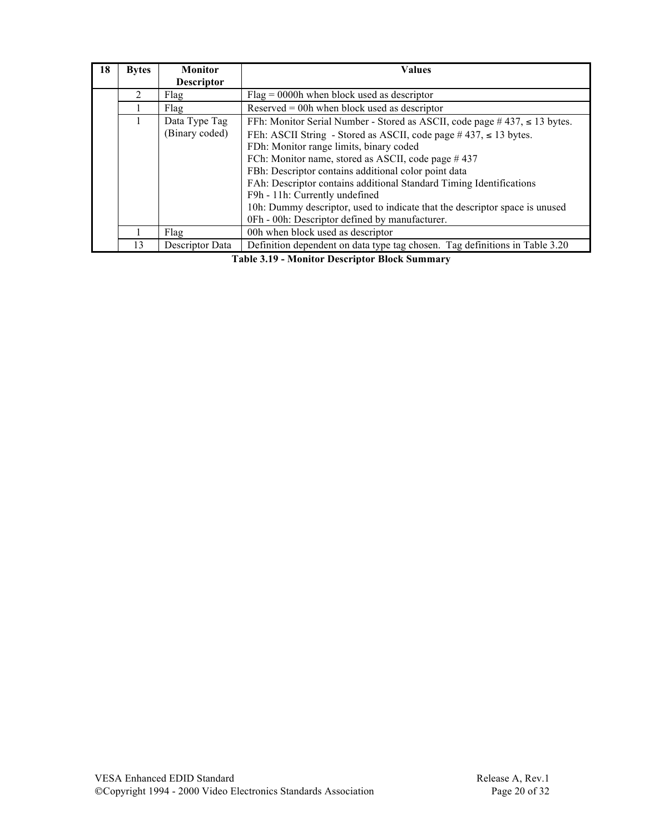| 18 | <b>Bytes</b> | <b>Monitor</b>    | <b>Values</b>                                                                      |  |  |  |
|----|--------------|-------------------|------------------------------------------------------------------------------------|--|--|--|
|    |              | <b>Descriptor</b> |                                                                                    |  |  |  |
|    | 2            | Flag              | $Flag = 0000h$ when block used as descriptor                                       |  |  |  |
|    |              | Flag              | Reserved $=$ 00h when block used as descriptor                                     |  |  |  |
|    |              | Data Type Tag     | FFh: Monitor Serial Number - Stored as ASCII, code page $\#$ 437, $\leq$ 13 bytes. |  |  |  |
|    |              | (Binary coded)    | FEh: ASCII String - Stored as ASCII, code page $\#$ 437, $\leq$ 13 bytes.          |  |  |  |
|    |              |                   | FDh: Monitor range limits, binary coded                                            |  |  |  |
|    |              |                   | FCh: Monitor name, stored as ASCII, code page #437                                 |  |  |  |
|    |              |                   | FBh: Descriptor contains additional color point data                               |  |  |  |
|    |              |                   | FAh: Descriptor contains additional Standard Timing Identifications                |  |  |  |
|    |              |                   | F9h - 11h: Currently undefined                                                     |  |  |  |
|    |              |                   | 10h: Dummy descriptor, used to indicate that the descriptor space is unused        |  |  |  |
|    |              |                   | 0Fh - 00h: Descriptor defined by manufacturer.                                     |  |  |  |
|    |              | Flag              | 00h when block used as descriptor                                                  |  |  |  |
|    | 13           | Descriptor Data   | Definition dependent on data type tag chosen. Tag definitions in Table 3.20        |  |  |  |

**Table 3.19 - Monitor Descriptor Block Summary**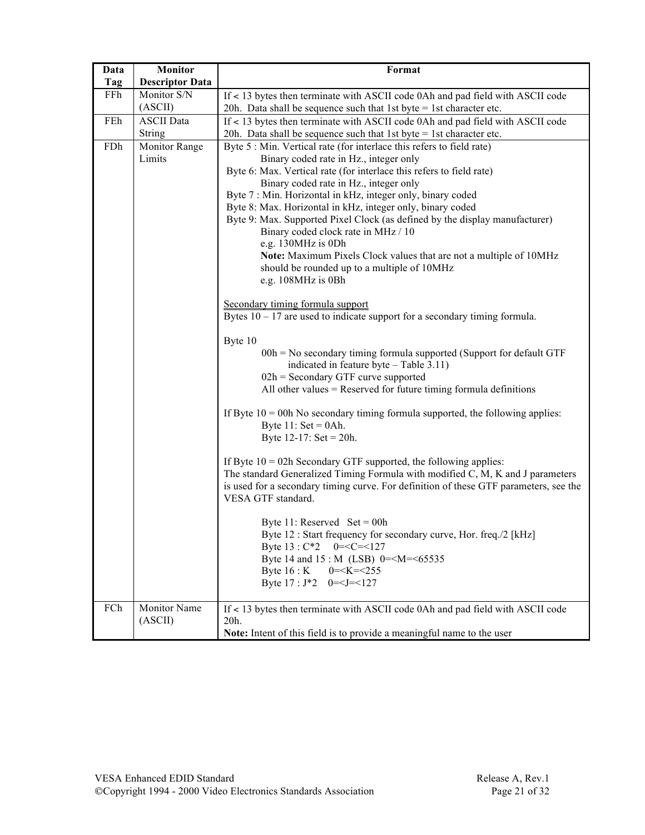| Data | <b>Monitor</b>                     | Format                                                                                                                                                                                                                                                                                                                                                                                                                                                                                                                                                                                                                                                |  |  |  |
|------|------------------------------------|-------------------------------------------------------------------------------------------------------------------------------------------------------------------------------------------------------------------------------------------------------------------------------------------------------------------------------------------------------------------------------------------------------------------------------------------------------------------------------------------------------------------------------------------------------------------------------------------------------------------------------------------------------|--|--|--|
| Tag  | <b>Descriptor Data</b>             |                                                                                                                                                                                                                                                                                                                                                                                                                                                                                                                                                                                                                                                       |  |  |  |
| FFh  | Monitor S/N<br>(ASCII)             | If < 13 bytes then terminate with ASCII code 0Ah and pad field with ASCII code<br>20h. Data shall be sequence such that 1st byte = 1st character etc.                                                                                                                                                                                                                                                                                                                                                                                                                                                                                                 |  |  |  |
| FEh  | <b>ASCII</b> Data<br><b>String</b> | If < 13 bytes then terminate with ASCII code 0Ah and pad field with ASCII code<br>20h. Data shall be sequence such that 1st byte $= 1$ st character etc.                                                                                                                                                                                                                                                                                                                                                                                                                                                                                              |  |  |  |
| FDh  | Monitor Range<br>Limits            | Byte 5 : Min. Vertical rate (for interlace this refers to field rate)<br>Binary coded rate in Hz., integer only<br>Byte 6: Max. Vertical rate (for interlace this refers to field rate)<br>Binary coded rate in Hz., integer only<br>Byte 7 : Min. Horizontal in kHz, integer only, binary coded<br>Byte 8: Max. Horizontal in kHz, integer only, binary coded<br>Byte 9: Max. Supported Pixel Clock (as defined by the display manufacturer)<br>Binary coded clock rate in MHz / 10<br>e.g. 130MHz is 0Dh<br>Note: Maximum Pixels Clock values that are not a multiple of 10MHz<br>should be rounded up to a multiple of 10MHz<br>e.g. 108MHz is 0Bh |  |  |  |
|      |                                    | Secondary timing formula support<br>Bytes $10 - 17$ are used to indicate support for a secondary timing formula.<br>Byte 10<br>$00h$ = No secondary timing formula supported (Support for default GTF<br>indicated in feature byte - Table 3.11)<br>$02h$ = Secondary GTF curve supported<br>All other values $=$ Reserved for future timing formula definitions                                                                                                                                                                                                                                                                                      |  |  |  |
|      |                                    | If Byte $10 = 00h$ No secondary timing formula supported, the following applies:<br>Byte $11:$ Set = 0Ah.<br>Byte $12-17$ : Set = 20h.                                                                                                                                                                                                                                                                                                                                                                                                                                                                                                                |  |  |  |
|      |                                    | If Byte $10 = 02h$ Secondary GTF supported, the following applies:<br>The standard Generalized Timing Formula with modified C, M, K and J parameters<br>is used for a secondary timing curve. For definition of these GTF parameters, see the<br>VESA GTF standard.                                                                                                                                                                                                                                                                                                                                                                                   |  |  |  |
|      |                                    | Byte 11: Reserved $Set = 00h$<br>Byte 12 : Start frequency for secondary curve, Hor. freq./2 [kHz]<br>$0 = C = 127$<br>Byte $13: C*2$<br>Byte 14 and 15: M (LSB) 0= <m=<65535<br>Byte <math>16:K</math><br/><math>0 = <k 255<="" <="" math=""><br/>Byte <math>17: J^*2 \quad 0 = <j <127<="" =="" math=""></j></math></k></math></m=<65535<br>                                                                                                                                                                                                                                                                                                        |  |  |  |
| FCh  | Monitor Name<br>(ASCII)            | If < 13 bytes then terminate with ASCII code 0Ah and pad field with ASCII code<br>20h.<br>Note: Intent of this field is to provide a meaningful name to the user                                                                                                                                                                                                                                                                                                                                                                                                                                                                                      |  |  |  |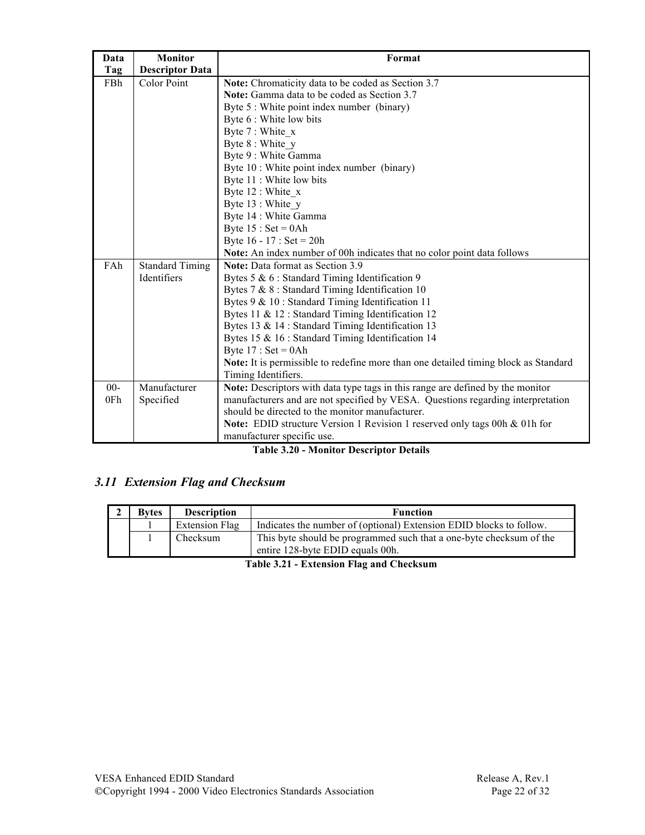| Data   | <b>Monitor</b>         | Format                                                                              |
|--------|------------------------|-------------------------------------------------------------------------------------|
| Tag    | <b>Descriptor Data</b> |                                                                                     |
| FBh    | Color Point            | Note: Chromaticity data to be coded as Section 3.7                                  |
|        |                        | Note: Gamma data to be coded as Section 3.7                                         |
|        |                        | Byte 5 : White point index number (binary)                                          |
|        |                        | Byte 6 : White low bits                                                             |
|        |                        | Byte 7 : White x                                                                    |
|        |                        | Byte 8 : White y                                                                    |
|        |                        | Byte 9 : White Gamma                                                                |
|        |                        | Byte 10 : White point index number (binary)                                         |
|        |                        | Byte 11 : White low bits                                                            |
|        |                        | Byte 12 : White x                                                                   |
|        |                        | Byte 13 : White y                                                                   |
|        |                        | Byte 14 : White Gamma                                                               |
|        |                        | Byte $15 : Set = 0Ah$                                                               |
|        |                        | Byte $16 - 17$ : Set = 20h                                                          |
|        |                        | Note: An index number of 00h indicates that no color point data follows             |
| FAh    | <b>Standard Timing</b> | Note: Data format as Section 3.9                                                    |
|        | Identifiers            | Bytes 5 & 6 : Standard Timing Identification 9                                      |
|        |                        | Bytes 7 & 8 : Standard Timing Identification 10                                     |
|        |                        | Bytes 9 & 10 : Standard Timing Identification 11                                    |
|        |                        | Bytes 11 & 12 : Standard Timing Identification 12                                   |
|        |                        | Bytes 13 & 14 : Standard Timing Identification 13                                   |
|        |                        | Bytes 15 & 16 : Standard Timing Identification 14                                   |
|        |                        | Byte $17 : Set = 0Ah$                                                               |
|        |                        | Note: It is permissible to redefine more than one detailed timing block as Standard |
|        |                        | Timing Identifiers.                                                                 |
| $00 -$ | Manufacturer           | Note: Descriptors with data type tags in this range are defined by the monitor      |
| 0Fh    | Specified              | manufacturers and are not specified by VESA. Questions regarding interpretation     |
|        |                        | should be directed to the monitor manufacturer.                                     |
|        |                        | Note: EDID structure Version 1 Revision 1 reserved only tags 00h & 01h for          |
|        |                        | manufacturer specific use.                                                          |

#### **Table 3.20 - Monitor Descriptor Details**

# *3.11 Extension Flag and Checksum*

| <b>Bytes</b> | <b>Description</b> | <b>Function</b>                                                                                         |
|--------------|--------------------|---------------------------------------------------------------------------------------------------------|
|              | Extension Flag     | Indicates the number of (optional) Extension EDID blocks to follow.                                     |
|              | Checksum           | This byte should be programmed such that a one-byte checksum of the<br>entire 128-byte EDID equals 00h. |

**Table 3.21 - Extension Flag and Checksum**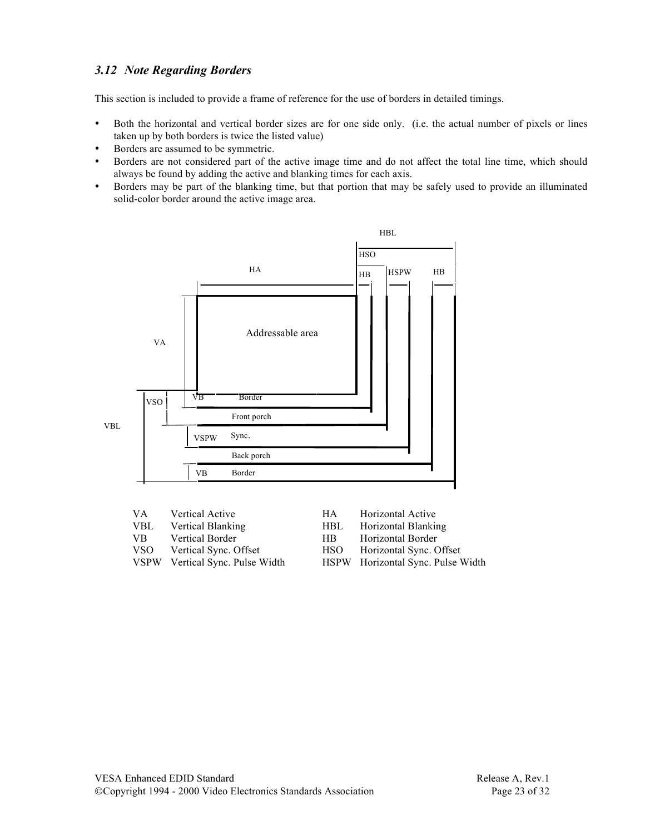### *3.12 Note Regarding Borders*

This section is included to provide a frame of reference for the use of borders in detailed timings.

- Both the horizontal and vertical border sizes are for one side only. (i.e. the actual number of pixels or lines taken up by both borders is twice the listed value)
- Borders are assumed to be symmetric.
- Borders are not considered part of the active image time and do not affect the total line time, which should always be found by adding the active and blanking times for each axis.
- Borders may be part of the blanking time, but that portion that may be safely used to provide an illuminated solid-color border around the active image area.



| VA.        | <b>Vertical Active</b>          | HA.        | Horizontal Active                 |
|------------|---------------------------------|------------|-----------------------------------|
| <b>VBL</b> | Vertical Blanking               | <b>HBL</b> | Horizontal Blanking               |
| VB.        | Vertical Border                 | HB.        | Horizontal Border                 |
| VSO        | Vertical Sync. Offset           | <b>HSO</b> | Horizontal Sync. Offset           |
|            | VSPW Vertical Sync. Pulse Width |            | HSPW Horizontal Sync. Pulse Width |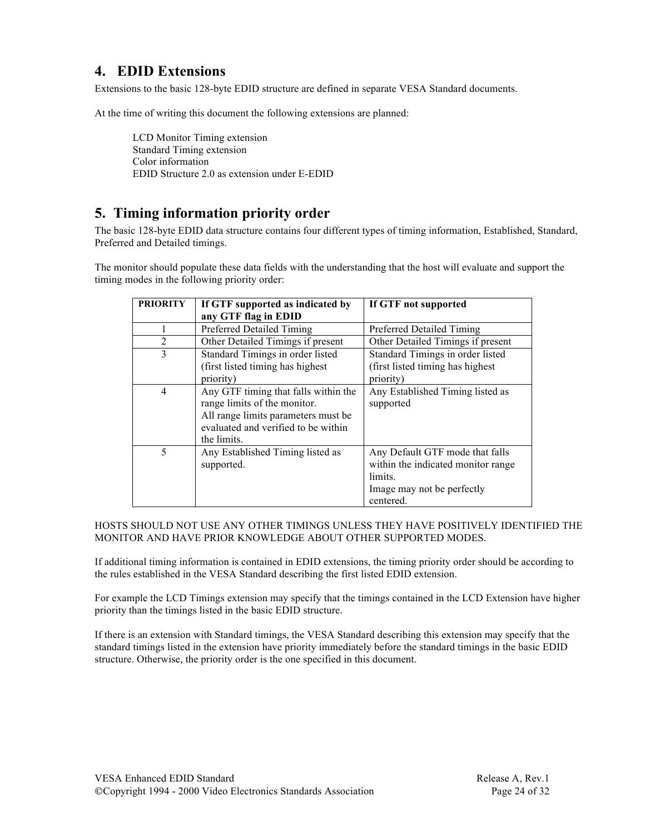# **4. EDID Extensions**

Extensions to the basic 128-byte EDID structure are defined in separate VESA Standard documents.

At the time of writing this document the following extensions are planned:

LCD Monitor Timing extension Standard Timing extension Color information EDID Structure 2.0 as extension under E-EDID

# **5. Timing information priority order**

The basic 128-byte EDID data structure contains four different types of timing information, Established, Standard, Preferred and Detailed timings.

The monitor should populate these data fields with the understanding that the host will evaluate and support the timing modes in the following priority order:

| <b>PRIORITY</b> | If GTF supported as indicated by                                                                                                                                  | If GTF not supported                                                                                                        |
|-----------------|-------------------------------------------------------------------------------------------------------------------------------------------------------------------|-----------------------------------------------------------------------------------------------------------------------------|
|                 | any GTF flag in EDID                                                                                                                                              |                                                                                                                             |
|                 | Preferred Detailed Timing                                                                                                                                         | Preferred Detailed Timing                                                                                                   |
| $\overline{2}$  | Other Detailed Timings if present                                                                                                                                 | Other Detailed Timings if present                                                                                           |
| 3               | Standard Timings in order listed<br>(first listed timing has highest)                                                                                             | Standard Timings in order listed<br>(first listed timing has highest)                                                       |
|                 | priority)                                                                                                                                                         | priority)                                                                                                                   |
| 4               | Any GTF timing that falls within the<br>range limits of the monitor.<br>All range limits parameters must be<br>evaluated and verified to be within<br>the limits. | Any Established Timing listed as<br>supported                                                                               |
| 5               | Any Established Timing listed as<br>supported.                                                                                                                    | Any Default GTF mode that falls<br>within the indicated monitor range<br>limits.<br>Image may not be perfectly<br>centered. |

HOSTS SHOULD NOT USE ANY OTHER TIMINGS UNLESS THEY HAVE POSITIVELY IDENTIFIED THE MONITOR AND HAVE PRIOR KNOWLEDGE ABOUT OTHER SUPPORTED MODES.

If additional timing information is contained in EDID extensions, the timing priority order should be according to the rules established in the VESA Standard describing the first listed EDID extension.

For example the LCD Timings extension may specify that the timings contained in the LCD Extension have higher priority than the timings listed in the basic EDID structure.

If there is an extension with Standard timings, the VESA Standard describing this extension may specify that the standard timings listed in the extension have priority immediately before the standard timings in the basic EDID structure. Otherwise, the priority order is the one specified in this document.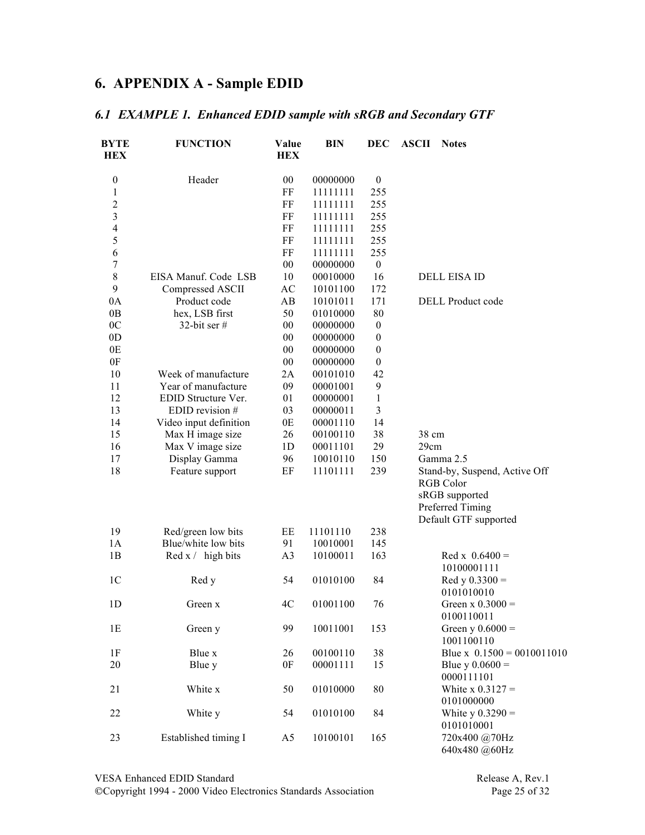# **6. APPENDIX A - Sample EDID**

## *6.1 EXAMPLE 1. Enhanced EDID sample with sRGB and Secondary GTF*

| <b>BYTE</b><br><b>HEX</b> | <b>FUNCTION</b>        | Value<br><b>HEX</b> | <b>BIN</b> | <b>DEC</b>       | <b>ASCII</b> | <b>Notes</b>                  |
|---------------------------|------------------------|---------------------|------------|------------------|--------------|-------------------------------|
| $\boldsymbol{0}$          | Header                 | $00\,$              | 00000000   | $\boldsymbol{0}$ |              |                               |
| 1                         |                        | $\rm FF$            | 11111111   | 255              |              |                               |
| $\overline{\mathbf{c}}$   |                        | FF                  | 11111111   | 255              |              |                               |
| 3                         |                        | $\rm FF$            | 11111111   | 255              |              |                               |
| 4                         |                        | FF                  | 11111111   | 255              |              |                               |
| 5                         |                        | FF                  | 11111111   | 255              |              |                               |
| 6                         |                        | $\rm FF$            | 11111111   | 255              |              |                               |
| 7                         |                        | $00\,$              | 00000000   | $\boldsymbol{0}$ |              |                               |
| $\,8\,$                   | EISA Manuf. Code LSB   | 10                  | 00010000   | 16               |              | <b>DELL EISA ID</b>           |
| 9                         | Compressed ASCII       | AC                  | 10101100   | 172              |              |                               |
| 0A                        | Product code           | AB                  | 10101011   | 171              |              | <b>DELL</b> Product code      |
| 0B                        | hex, LSB first         | 50                  | 01010000   | 80               |              |                               |
| 0 <sub>C</sub>            | 32-bit ser $#$         | $00\,$              | 00000000   | $\boldsymbol{0}$ |              |                               |
| 0 <sub>D</sub>            |                        | $00\,$              | 00000000   | $\boldsymbol{0}$ |              |                               |
| 0E                        |                        | $00\,$              | 00000000   | $\boldsymbol{0}$ |              |                               |
| 0F                        |                        | $00\,$              | 00000000   | $\boldsymbol{0}$ |              |                               |
| 10                        | Week of manufacture    | 2A                  | 00101010   | 42               |              |                               |
| 11                        | Year of manufacture    | 09                  | 00001001   | 9                |              |                               |
| 12                        | EDID Structure Ver.    | 01                  | 00000001   | $\mathbf{1}$     |              |                               |
| 13                        | EDID revision #        | 03                  | 00000011   | 3                |              |                               |
| 14                        | Video input definition | 0E                  | 00001110   | 14               |              |                               |
| 15                        | Max H image size       | 26                  | 00100110   | 38               | 38 cm        |                               |
| 16                        | Max V image size       | 1 <sub>D</sub>      | 00011101   | 29               | 29cm         |                               |
| 17                        | Display Gamma          | 96                  | 10010110   | 150              |              | Gamma 2.5                     |
| 18                        | Feature support        | $\rm EF$            | 11101111   | 239              |              | Stand-by, Suspend, Active Off |
|                           |                        |                     |            |                  |              | RGB Color                     |
|                           |                        |                     |            |                  |              | sRGB supported                |
|                           |                        |                     |            |                  |              | Preferred Timing              |
|                           |                        |                     |            |                  |              | Default GTF supported         |
| 19                        | Red/green low bits     | EЕ                  | 11101110   | 238              |              |                               |
| 1A                        | Blue/white low bits    | 91                  | 10010001   | 145              |              |                               |
| 1B                        | Red x / high bits      | A <sub>3</sub>      | 10100011   | 163              |              | $Red x 0.6400 =$              |
|                           |                        |                     |            |                  |              | 10100001111                   |
| 1 <sup>C</sup>            | Red y                  | 54                  | 01010100   | 84               |              | $Red y 0.3300 =$              |
|                           |                        |                     |            |                  |              | 0101010010                    |
| 1 <sub>D</sub>            | Green x                | 4C                  | 01001100   | 76               |              | Green x $0.3000 =$            |
|                           |                        |                     |            |                  |              | 0100110011                    |
| 1E                        | Green y                | 99                  | 10011001   | 153              |              | Green y $0.6000 =$            |
|                           |                        |                     |            |                  |              | 1001100110                    |
| 1F                        | Blue x                 | 26                  | 00100110   | 38               |              | Blue x $0.1500 = 0010011010$  |
| $20\,$                    | Blue y                 | 0F                  | 00001111   | 15               |              | Blue y $0.0600 =$             |
|                           |                        |                     |            |                  |              | 0000111101                    |
| 21                        | White x                | 50                  | 01010000   | 80               |              | White $x 0.3127 =$            |
|                           |                        |                     |            |                  |              | 0101000000                    |
| 22                        | White y                | 54                  | 01010100   | 84               |              | White y $0.3290 =$            |
|                           |                        |                     |            |                  |              | 0101010001                    |
| 23                        | Established timing I   | A <sub>5</sub>      | 10100101   | 165              |              | 720x400 @70Hz                 |
|                           |                        |                     |            |                  |              | 640x480 @60Hz                 |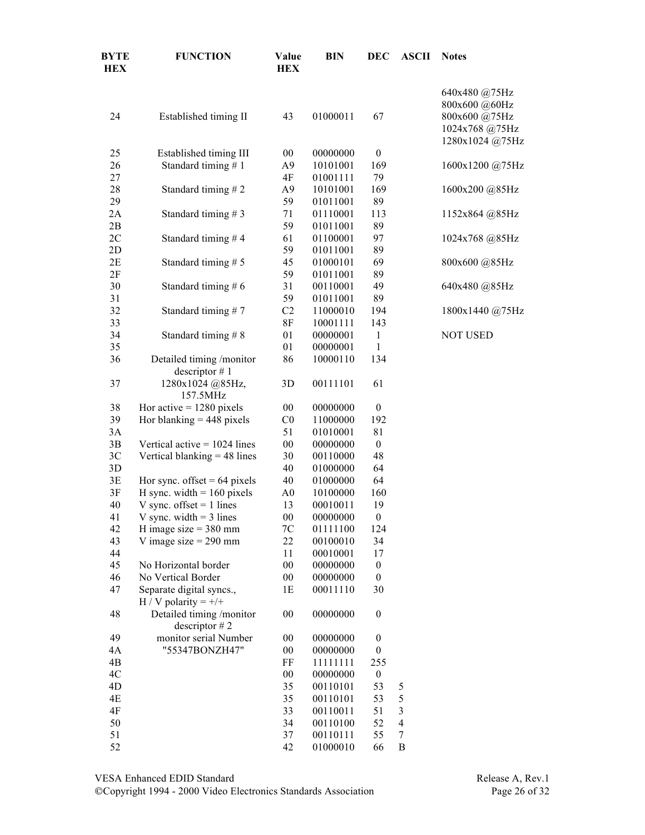| <b>BYTE</b><br><b>HEX</b> | <b>FUNCTION</b>                                    | Value<br><b>HEX</b> | <b>BIN</b>           | <b>DEC</b>                           | <b>ASCII</b>   | <b>Notes</b>                                                                         |
|---------------------------|----------------------------------------------------|---------------------|----------------------|--------------------------------------|----------------|--------------------------------------------------------------------------------------|
| 24                        | Established timing II                              | 43                  | 01000011             | 67                                   |                | 640x480 @75Hz<br>800x600 @60Hz<br>800x600 @75Hz<br>1024x768 @75Hz<br>1280x1024 @75Hz |
| 25                        | Established timing III                             | $00\,$              | 00000000             | $\boldsymbol{0}$                     |                |                                                                                      |
| 26                        | Standard timing #1                                 | A9                  | 10101001             | 169                                  |                | 1600x1200 @75Hz                                                                      |
| 27                        |                                                    | 4F                  | 01001111             | 79                                   |                |                                                                                      |
| 28                        | Standard timing #2                                 | A9                  | 10101001             | 169                                  |                | 1600x200 @85Hz                                                                       |
| 29                        |                                                    | 59                  | 01011001             | 89                                   |                |                                                                                      |
| 2A                        | Standard timing #3                                 | 71                  | 01110001             | 113                                  |                | 1152x864 @85Hz                                                                       |
| 2B                        |                                                    | 59                  | 01011001             | 89                                   |                |                                                                                      |
| 2C                        | Standard timing #4                                 | 61                  | 01100001             | 97                                   |                | 1024x768 @85Hz                                                                       |
| 2D                        |                                                    | 59                  | 01011001             | 89                                   |                |                                                                                      |
| 2E                        | Standard timing #5                                 | 45                  | 01000101             | 69                                   |                | 800x600 @85Hz                                                                        |
| 2F                        |                                                    | 59                  | 01011001             | 89                                   |                |                                                                                      |
| 30                        | Standard timing #6                                 | 31                  | 00110001             | 49                                   |                | 640x480 @85Hz                                                                        |
| 31                        |                                                    | 59                  | 01011001             | 89                                   |                |                                                                                      |
| 32                        | Standard timing #7                                 | C <sub>2</sub>      | 11000010             | 194                                  |                | 1800x1440 @75Hz                                                                      |
| 33                        |                                                    | $8\mathrm{F}$       | 10001111             | 143                                  |                |                                                                                      |
| 34                        | Standard timing #8                                 | 01<br>01            | 00000001<br>00000001 | $\mathbf{1}$<br>$\mathbf{1}$         |                | <b>NOT USED</b>                                                                      |
| 35<br>36                  |                                                    | 86                  | 10000110             | 134                                  |                |                                                                                      |
|                           | Detailed timing /monitor<br>descriptor $# 1$       |                     |                      |                                      |                |                                                                                      |
| 37                        | 1280x1024 @85Hz,<br>157.5MHz                       | 3D                  | 00111101             | 61                                   |                |                                                                                      |
| 38                        | Hor active $= 1280$ pixels                         | $00\,$              | 00000000             | $\boldsymbol{0}$                     |                |                                                                                      |
| 39                        | Hor blanking $= 448$ pixels                        | C <sub>0</sub>      | 11000000             | 192                                  |                |                                                                                      |
| 3A                        |                                                    | 51                  | 01010001             | 81                                   |                |                                                                                      |
| 3B                        | Vertical active $= 1024$ lines                     | $00\,$              | 00000000             | $\boldsymbol{0}$                     |                |                                                                                      |
| 3C                        | Vertical blanking $=$ 48 lines                     | 30                  | 00110000             | 48                                   |                |                                                                                      |
| 3D                        |                                                    | 40                  | 01000000             | 64                                   |                |                                                                                      |
| 3E                        | Hor sync. offset = $64$ pixels                     | 40                  | 01000000             | 64                                   |                |                                                                                      |
| 3F                        | H sync. width $= 160$ pixels                       | A0                  | 10100000             | 160                                  |                |                                                                                      |
| 40                        | V sync. offset $= 1$ lines                         | 13                  | 00010011             | 19                                   |                |                                                                                      |
| 41                        | V sync. width $=$ 3 lines                          | $00\,$              | 00000000             | $\boldsymbol{0}$                     |                |                                                                                      |
| 42                        | H image size $=$ 380 mm                            | 7C                  | 01111100             | 124                                  |                |                                                                                      |
| 43                        | V image size $= 290$ mm                            | 22                  | 00100010             | 34                                   |                |                                                                                      |
| 44                        | No Horizontal border                               | 11<br>$00\,$        | 00010001             | 17                                   |                |                                                                                      |
| 45<br>46                  | No Vertical Border                                 | $00\,$              | 00000000<br>00000000 | $\boldsymbol{0}$<br>$\boldsymbol{0}$ |                |                                                                                      |
| 47                        | Separate digital syncs.,<br>H / V polarity = $+/+$ | 1E                  | 00011110             | 30                                   |                |                                                                                      |
| 48                        | Detailed timing /monitor<br>descriptor $# 2$       | 00                  | 00000000             | $\boldsymbol{0}$                     |                |                                                                                      |
| 49                        | monitor serial Number                              | 00                  | 00000000             | $\boldsymbol{0}$                     |                |                                                                                      |
| 4A                        | "55347BONZH47"                                     | $00\,$              | 00000000             | $\boldsymbol{0}$                     |                |                                                                                      |
| 4B                        |                                                    | FF                  | 11111111             | 255                                  |                |                                                                                      |
| 4C                        |                                                    | 00                  | 00000000             | $\boldsymbol{0}$                     |                |                                                                                      |
| 4D                        |                                                    | 35                  | 00110101             | 53                                   | 5              |                                                                                      |
| 4E                        |                                                    | 35                  | 00110101             | 53                                   | 5              |                                                                                      |
| 4F                        |                                                    | 33                  | 00110011             | 51                                   | $\overline{3}$ |                                                                                      |
| 50                        |                                                    | 34                  | 00110100             | 52                                   | $\overline{4}$ |                                                                                      |
| 51                        |                                                    | 37                  | 00110111             | 55                                   | $\tau$         |                                                                                      |
| 52                        |                                                    | 42                  | 01000010             | 66                                   | B              |                                                                                      |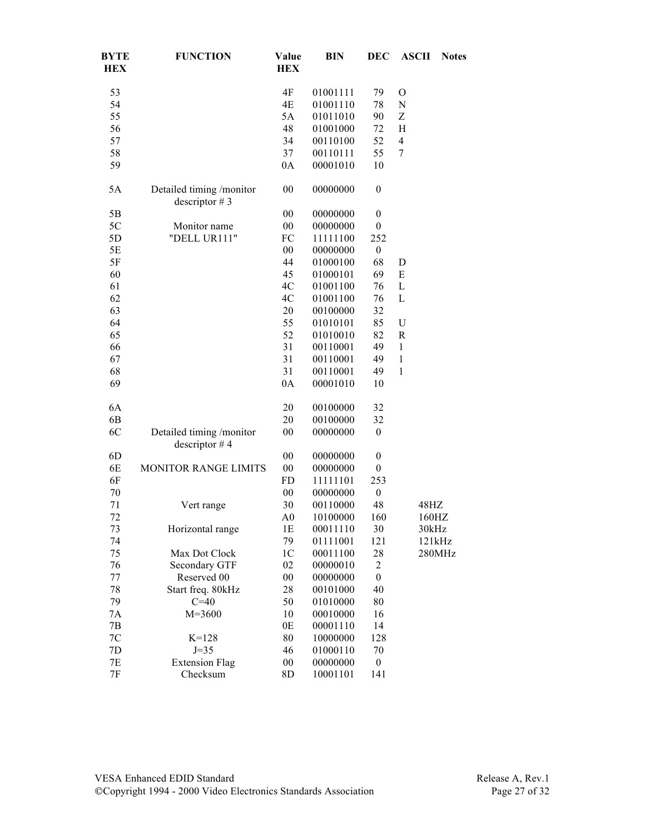| <b>BYTE</b><br><b>HEX</b> | <b>FUNCTION</b>                              | Value<br><b>HEX</b> | <b>BIN</b> | <b>DEC</b>       | <b>ASCII</b>   | <b>Notes</b> |
|---------------------------|----------------------------------------------|---------------------|------------|------------------|----------------|--------------|
| 53                        |                                              | 4F                  | 01001111   | 79               | $\mathcal{O}$  |              |
| 54                        |                                              | 4E                  | 01001110   | 78               | N              |              |
| 55                        |                                              | 5A                  | 01011010   | 90               | Z              |              |
| 56                        |                                              | 48                  | 01001000   | 72               | H              |              |
| 57                        |                                              | 34                  | 00110100   | 52               | $\overline{4}$ |              |
| 58                        |                                              | 37                  | 00110111   | 55               | 7              |              |
| 59                        |                                              | 0A                  | 00001010   | 10               |                |              |
| 5A                        | Detailed timing /monitor<br>descriptor $# 3$ | $00\,$              | 00000000   | $\boldsymbol{0}$ |                |              |
| 5B                        |                                              | 00                  | 00000000   | $\boldsymbol{0}$ |                |              |
| 5C                        | Monitor name                                 | $00\,$              | 00000000   | $\boldsymbol{0}$ |                |              |
| 5D                        | "DELL UR111"                                 | FC                  | 11111100   | 252              |                |              |
| $5E$                      |                                              | $00\,$              | 00000000   | $\boldsymbol{0}$ |                |              |
| $5F$                      |                                              | 44                  | 01000100   | 68               | D              |              |
| 60                        |                                              | 45                  | 01000101   | 69               | E              |              |
| 61                        |                                              | 4C                  | 01001100   | 76               | L              |              |
| 62                        |                                              | 4C                  | 01001100   | 76               | L              |              |
| 63                        |                                              | 20                  | 00100000   | 32               |                |              |
| 64                        |                                              | 55                  | 01010101   | 85               | $\mathbf U$    |              |
| 65                        |                                              | 52                  | 01010010   | 82               | $\mathbf R$    |              |
| 66                        |                                              | 31                  | 00110001   | 49               | $\mathbf{1}$   |              |
| 67                        |                                              | 31                  | 00110001   | 49               | $\mathbf{1}$   |              |
| 68                        |                                              | 31                  | 00110001   | 49               | $\mathbf{1}$   |              |
| 69                        |                                              | 0A                  | 00001010   | 10               |                |              |
| 6A                        |                                              | 20                  | 00100000   | 32               |                |              |
| 6 <sub>B</sub>            |                                              | 20                  | 00100000   | 32               |                |              |
| 6C                        | Detailed timing /monitor<br>descriptor $#4$  | 00                  | 00000000   | $\boldsymbol{0}$ |                |              |
| 6D                        |                                              | $00\,$              | 00000000   | $\boldsymbol{0}$ |                |              |
| 6E                        | <b>MONITOR RANGE LIMITS</b>                  | $00\,$              | 00000000   | $\boldsymbol{0}$ |                |              |
| 6F                        |                                              | FD                  | 11111101   | 253              |                |              |
| 70                        |                                              | $00\,$              | 00000000   | $\boldsymbol{0}$ |                |              |
| 71                        | Vert range                                   | 30                  | 00110000   | 48               |                | 48HZ         |
| 72                        |                                              | A <sub>0</sub>      | 10100000   | 160              |                | 160HZ        |
| 73                        | Horizontal range                             | 1E                  | 00011110   | 30               |                | 30kHz        |
| 74                        |                                              | 79                  | 01111001   | 121              |                | 121kHz       |
| 75                        | Max Dot Clock                                | 1 <sup>C</sup>      | 00011100   | 28               |                | 280MHz       |
| 76                        | Secondary GTF                                | 02                  | 00000010   | $\overline{2}$   |                |              |
| 77                        | Reserved 00                                  | $00\,$              | 00000000   | $\boldsymbol{0}$ |                |              |
| 78                        | Start freq. 80kHz                            | 28                  | 00101000   | 40               |                |              |
| 79                        | $C=40$                                       | 50                  | 01010000   | 80               |                |              |
| 7A                        | $M = 3600$                                   | 10                  | 00010000   | 16               |                |              |
| 7B                        |                                              | 0E                  | 00001110   | 14               |                |              |
| $7\mathrm{C}$             | $K = 128$                                    | 80                  | 10000000   | 128              |                |              |
| 7D                        | $J=35$                                       | 46                  | 01000110   | 70               |                |              |
| 7E                        | <b>Extension Flag</b>                        | $00\,$              | 00000000   | $\boldsymbol{0}$ |                |              |
| $7\mathrm{F}$             | Checksum                                     | 8D                  | 10001101   | 141              |                |              |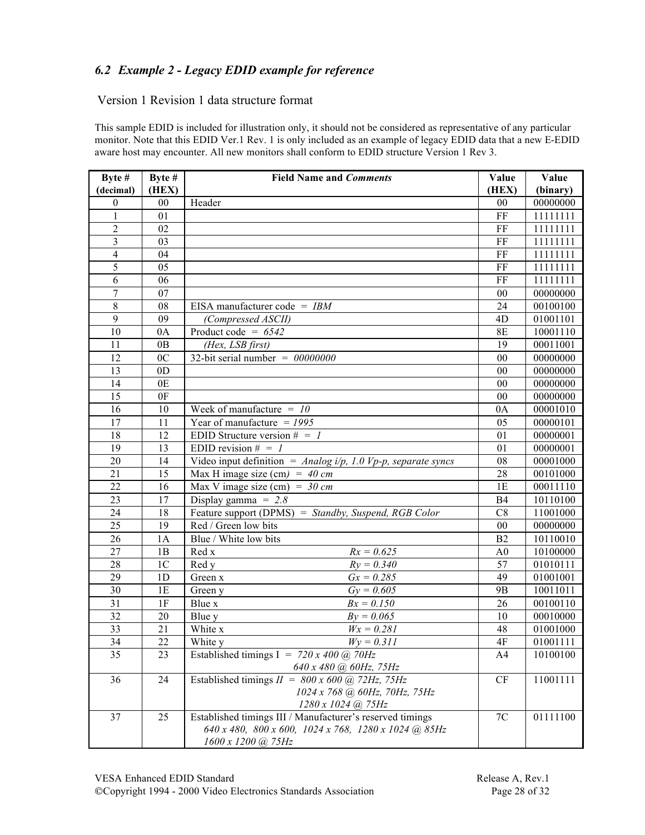## *6.2 Example 2 - Legacy EDID example for reference*

#### Version 1 Revision 1 data structure format

This sample EDID is included for illustration only, it should not be considered as representative of any particular monitor. Note that this EDID Ver.1 Rev. 1 is only included as an example of legacy EDID data that a new E-EDID aware host may encounter. All new monitors shall conform to EDID structure Version 1 Rev 3.

| Byte #          | Byte #         | <b>Field Name and Comments</b>                                                            | Value          | Value    |
|-----------------|----------------|-------------------------------------------------------------------------------------------|----------------|----------|
| (decimal)       | (HEX)          |                                                                                           | (HEX)          | (binary) |
| $\mathbf{0}$    | $00\,$         | Header                                                                                    | 00             | 00000000 |
| $\mathbf{1}$    | 01             |                                                                                           | FF             | 11111111 |
| $\overline{c}$  | 02             |                                                                                           | FF             | 11111111 |
| $\overline{3}$  | 03             |                                                                                           | FF             | 11111111 |
| $\overline{4}$  | 04             |                                                                                           | FF             | 11111111 |
| 5               | 05             |                                                                                           | FF             | 11111111 |
| $\overline{6}$  | 06             |                                                                                           | FF             | 11111111 |
| 7               | 07             |                                                                                           | 00             | 00000000 |
| $\overline{8}$  | 08             | EISA manufacturer code = $IBM$                                                            | 24             | 00100100 |
| $\overline{9}$  | 09             | (Compressed ASCII)                                                                        | 4D             | 01001101 |
| 10              | 0A             | Product code = $6542$                                                                     | <b>8E</b>      | 10001110 |
| 11              | 0B             | (Hex, LSB first)                                                                          | 19             | 00011001 |
| 12              | 0 <sub>C</sub> | 32-bit serial number = $00000000$                                                         | 00             | 00000000 |
| 13              | 0 <sub>D</sub> |                                                                                           | 00             | 00000000 |
| 14              | 0E             |                                                                                           | 00             | 00000000 |
| 15              | 0F             |                                                                                           | 00             | 00000000 |
| 16              | 10             | Week of manufacture $=$ 10                                                                | 0A             | 00001010 |
| 17              | 11             | Year of manufacture $= 1995$                                                              | 05             | 00000101 |
| 18              | 12             | EDID Structure version $\# = I$                                                           | 01             | 00000001 |
| 19              | 13             | EDID revision $# = 1$                                                                     | 01             | 00000001 |
| 20              | 14             | Video input definition = $Analog i/p$ , 1.0 Vp-p, separate syncs                          | 08             | 00001000 |
| 21              | 15             | Max H image size (cm) = $40 \text{ cm}$                                                   | 28             | 00101000 |
| 22              | 16             | Max V image size (cm) = $30 \text{ cm}$                                                   | 1E             | 00011110 |
| 23              | 17             | Display gamma = $2.8$                                                                     | <b>B4</b>      | 10110100 |
| 24              | 18             | Feature support (DPMS) = Standby, Suspend, RGB Color                                      | C8             | 11001000 |
| 25              | 19             | Red / Green low bits                                                                      | $00\,$         | 00000000 |
| 26              | 1A             | Blue / White low bits                                                                     | B2             | 10110010 |
| 27              | 1B             | $Rx = 0.625$<br>Red x                                                                     | A <sub>0</sub> | 10100000 |
| 28              | 1 <sup>C</sup> | Red y<br>$Ry = 0.340$                                                                     | 57             | 01010111 |
| 29              | 1 <sub>D</sub> | $Gx = 0.285$<br>Green x                                                                   | 49             | 01001001 |
| 30              | 1E             | $Gy = 0.605$<br>Green y                                                                   | 9 <sub>B</sub> | 10011011 |
| 31              | 1F             | Blue x<br>$Bx = 0.150$                                                                    | 26             | 00100110 |
| $\overline{32}$ | 20             | $By = 0.065$<br>Blue y                                                                    | 10             | 00010000 |
| 33              | 21             | White x<br>$Wx = 0.281$                                                                   | 48             | 01001000 |
| 34              | 22             | White y<br>$Wy = 0.311$                                                                   | 4F             | 01001111 |
| 35              | 23             | Established timings I = $720 x 400 (a) 70 Hz$                                             | A4             | 10100100 |
|                 |                | 640 x 480 @ 60Hz, 75Hz                                                                    |                |          |
| 36              | 24             | Established timings $II = 800 \times 600$ (a) 72Hz, 75Hz<br>1024 x 768 @ 60Hz, 70Hz, 75Hz | CF             | 11001111 |
|                 |                | $1280 \times 1024$ (a) $75Hz$                                                             |                |          |
| 37              | 25             | Established timings III / Manufacturer's reserved timings                                 | $7\mathrm{C}$  | 01111100 |
|                 |                | 640 x 480, 800 x 600, 1024 x 768, 1280 x 1024 @ 85Hz                                      |                |          |
|                 |                | $1600 \times 1200$ (a) $75Hz$                                                             |                |          |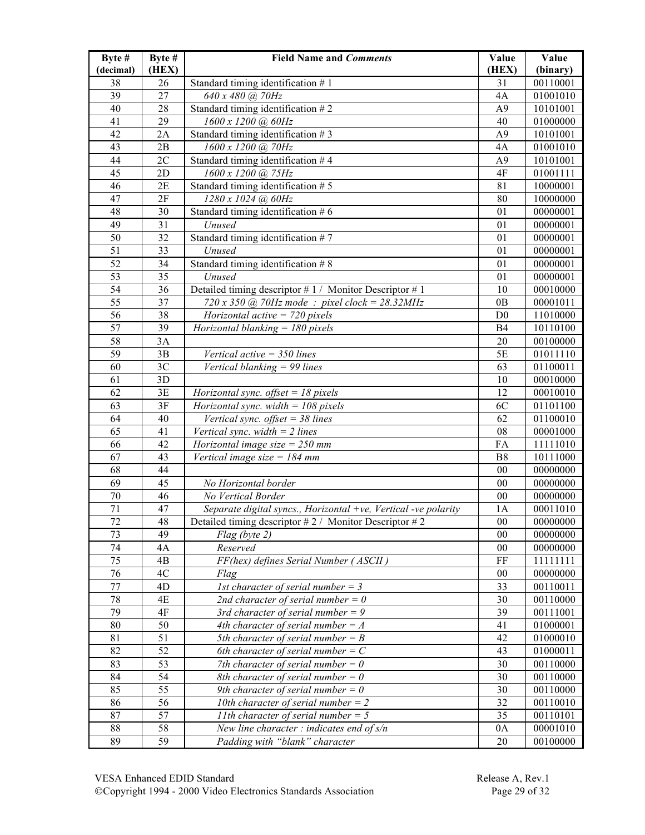| Byte #<br>(decimal) | Byte #<br>(HEX) | <b>Field Name and Comments</b>                                 | Value<br>(HEX)  | Value<br>(binary) |
|---------------------|-----------------|----------------------------------------------------------------|-----------------|-------------------|
| 38                  | 26              | Standard timing identification $# 1$                           | 31              | 00110001          |
| 39                  | 27              | 640 x 480 @ 70Hz                                               | 4A              | 01001010          |
| 40                  | 28              | Standard timing identification $# 2$                           | A <sub>9</sub>  | 10101001          |
| 41                  | 29              | 1600 x 1200 @ 60Hz                                             | 40              | 01000000          |
| 42                  | 2A              | Standard timing identification $# 3$                           | A <sub>9</sub>  | 10101001          |
| 43                  | 2B              | 1600 x 1200 @ 70Hz                                             | 4A              | 01001010          |
| 44                  | 2C              | Standard timing identification $#4$                            | A <sub>9</sub>  | 10101001          |
| 45                  | 2D              | 1600 x 1200 @ 75Hz                                             | 4F              | 01001111          |
| 46                  | 2E              | Standard timing identification $# 5$                           | 81              | 10000001          |
| 47                  | 2F              | 1280 x 1024 @ 60Hz                                             | 80              | 10000000          |
| 48                  | 30              | Standard timing identification $# 6$                           | 01              | 00000001          |
| 49                  | 31              | Unused                                                         | 01              | 00000001          |
| 50                  | 32              | Standard timing identification #7                              | 01              | 00000001          |
| 51                  | 33              | Unused                                                         | 01              | 00000001          |
| 52                  | 34              | Standard timing identification $# 8$                           | 01              | 00000001          |
| 53                  | 35              | Unused                                                         | 01              | 00000001          |
| $\overline{54}$     | 36              | Detailed timing descriptor #1/ Monitor Descriptor #1           | 10              | 00010000          |
| 55                  | 37              | $720 x 350$ (a) $70Hz$ mode: pixel clock = 28.32MHz            | 0B              | 00001011          |
| 56                  | 38              | Horizontal active $= 720$ pixels                               | D <sub>0</sub>  | 11010000          |
| $\overline{57}$     | 39              | Horizontal blanking = $180$ pixels                             | <b>B4</b>       | 10110100          |
| 58                  | 3A              |                                                                | 20              | 00100000          |
| 59                  | 3B              | Vertical active $=$ 350 lines                                  | 5E              | 01011110          |
| 60                  | 3C              | Vertical blanking $= 99$ lines                                 | 63              | 01100011          |
| 61                  | 3D              |                                                                | 10              | 00010000          |
| 62                  | 3E              | Horizontal sync. offset = $18$ pixels                          | 12              | 00010010          |
| 63                  | 3F              | Horizontal sync. width = $108$ pixels                          | 6C              | 01101100          |
| 64                  | 40              | Vertical sync. offset = $38$ lines                             | 62              | 01100010          |
| 65                  | 41              | Vertical sync. width $=$ 2 lines                               | 08              | 00001000          |
| 66                  | 42              | Horizontal image size = $250$ mm                               | FA              | 11111010          |
| 67                  | 43              | Vertical image size = $184$ mm                                 | B8              | 10111000          |
| 68                  | 44              |                                                                | 00              | 00000000          |
| 69                  | 45              | No Horizontal border                                           | 00              | 00000000          |
| 70                  | 46              | No Vertical Border                                             | 00              | 00000000          |
| 71                  | 47              | Separate digital syncs., Horizontal +ve, Vertical -ve polarity | 1A              | 00011010          |
| $72\,$              | 48              | Detailed timing descriptor #2 / Monitor Descriptor #2          | ${\bf 00}$      | 00000000          |
| 73                  | 49              | $Flag$ (byte 2)                                                | 00 <sup>°</sup> | 00000000          |
| 74                  | 4A              | Reserved                                                       | 00              | 00000000          |
| 75                  | 4B              | FF(hex) defines Serial Number (ASCII)                          | FF              | 11111111          |
| 76                  | 4C              | Flag                                                           | 00              | 00000000          |
| 77                  | 4D              | <i>Ist character of serial number = 3</i>                      | 33              | 00110011          |
| $78\,$              | 4E              | 2nd character of serial number = $0$                           | 30              | 00110000          |
| 79                  | $4F$            | 3rd character of serial number = $9$                           | 39              | 00111001          |
| 80                  | 50              | 4th character of serial number = $A$                           | 41              | 01000001          |
| 81                  | 51              | 5th character of serial number = $B$                           | 42              | 01000010          |
| 82                  | 52              | 6th character of serial number = $C$                           | 43              | 01000011          |
| 83                  | 53              | 7th character of serial number = $0$                           | 30              | 00110000          |
| 84                  | 54              | 8th character of serial number = 0                             | 30              | 00110000          |
| 85                  | 55              | 9th character of serial number = $0$                           | 30              | 00110000          |
| 86                  | 56              | 10th character of serial number = $2$                          | 32              | 00110010          |
| 87                  | 57              | <i>IIth character of serial number = 5</i>                     | 35              | 00110101          |
| $88\,$              | 58<br>59        | New line character : indicates end of $s/n$                    | 0A              | 00001010          |
| 89                  |                 | Padding with "blank" character                                 | 20              | 00100000          |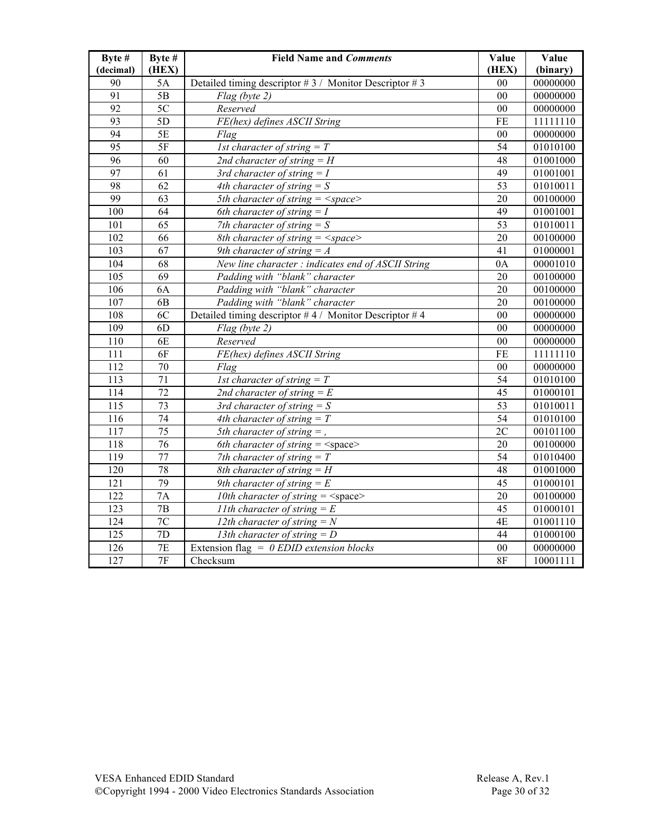| Byte #           | Byte #          | <b>Field Name and Comments</b>                        | Value           | Value    |
|------------------|-----------------|-------------------------------------------------------|-----------------|----------|
| (decimal)        | (HEX)           |                                                       | (HEX)           | (binary) |
| 90               | 5A              | Detailed timing descriptor #3 / Monitor Descriptor #3 | 0 <sub>0</sub>  | 00000000 |
| 91               | $\overline{5B}$ | Flag (byte 2)                                         | 0 <sub>0</sub>  | 00000000 |
| $\overline{92}$  | $\overline{5C}$ | Reserved                                              | 00              | 00000000 |
| $\overline{93}$  | 5D              | FE(hex) defines ASCII String                          | FE              | 11111110 |
| 94               | 5E              | Flag                                                  | 00              | 00000000 |
| $\overline{95}$  | 5F              | <i>Ist character of string</i> $= T$                  | 54              | 01010100 |
| $\overline{96}$  | 60              | 2nd character of string $=$ H                         | 48              | 01001000 |
| 97               | 61              | 3rd character of string $= I$                         | 49              | 01001001 |
| 98               | $\overline{62}$ | 4th character of string $=$ S                         | $\overline{53}$ | 01010011 |
| 99               | 63              | 5th character of string $=$ <space></space>           | 20              | 00100000 |
| 100              | 64              | 6th character of string $= I$                         | 49              | 01001001 |
| 101              | 65              | 7th character of string $= S$                         | 53              | 01010011 |
| 102              | 66              | 8th character of string $=$ <space></space>           | 20              | 00100000 |
| 103              | 67              | 9th character of string $=$ A                         | 41              | 01000001 |
| 104              | 68              | New line character : indicates end of ASCII String    | 0A              | 00001010 |
| 105              | 69              | Padding with "blank" character                        | 20              | 00100000 |
| 106              | 6A              | Padding with "blank" character                        | 20              | 00100000 |
| 107              | 6 <sub>B</sub>  | Padding with "blank" character                        | 20              | 00100000 |
| 108              | 6C              | Detailed timing descriptor #4 / Monitor Descriptor #4 | 0 <sub>0</sub>  | 00000000 |
| 109              | 6 <sub>D</sub>  | Flag (byte 2)                                         | 00              | 00000000 |
| 110              | 6E              | Reserved                                              | 0 <sub>0</sub>  | 00000000 |
| 111              | 6F              | FE(hex) defines ASCII String                          | FE              | 11111110 |
| 112              | 70              | Flag                                                  | 00              | 00000000 |
| 113              | 71              | <i>Ist character of string</i> $= T$                  | 54              | 01010100 |
| 114              | 72              | 2nd character of string $=E$                          | 45              | 01000101 |
| $\overline{115}$ | $\overline{73}$ | 3rd character of string $= S$                         | $\overline{53}$ | 01010011 |
| 116              | 74              | 4th character of string $= T$                         | 54              | 01010100 |
| $\overline{117}$ | 75              | 5th character of string $=$ ,                         | $\overline{2C}$ | 00101100 |
| 118              | $\overline{76}$ | 6th character of string $=$ <space></space>           | 20              | 00100000 |
| 119              | 77              | 7th character of string $= T$                         | $\overline{54}$ | 01010400 |
| $\overline{120}$ | 78              | 8th character of string $=$ H                         | 48              | 01001000 |
| 121              | 79              | 9th character of string $=E$                          | 45              | 01000101 |
| 122              | 7A              | 10th character of string $=$ <space></space>          | 20              | 00100000 |
| 123              | 7B              | <i>I lth character of string</i> $= E$                | 45              | 01000101 |
| 124              | 7C              | 12th character of string $=N$                         | 4E              | 01001110 |
| 125              | 7D              | 13th character of string $= D$                        | 44              | 01000100 |
| 126              | 7E              | Extension flag = $0$ EDID extension blocks            | 00              | 00000000 |
| 127              | 7F              | Checksum                                              | 8F              | 10001111 |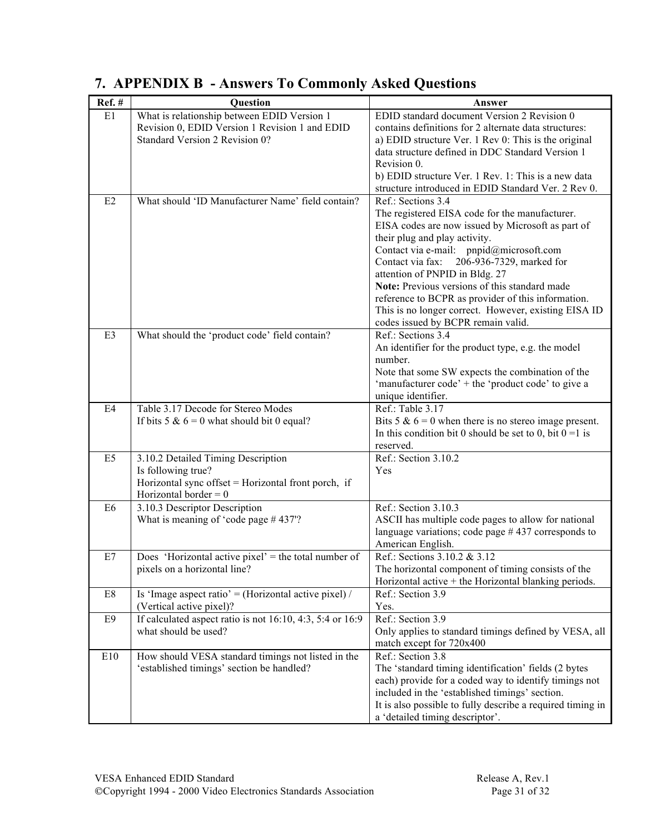| Ref.#          | <b>Question</b>                                                     | Answer                                                     |
|----------------|---------------------------------------------------------------------|------------------------------------------------------------|
| E1             | What is relationship between EDID Version 1                         | EDID standard document Version 2 Revision 0                |
|                | Revision 0, EDID Version 1 Revision 1 and EDID                      | contains definitions for 2 alternate data structures:      |
|                | Standard Version 2 Revision 0?                                      | a) EDID structure Ver. 1 Rev 0: This is the original       |
|                |                                                                     | data structure defined in DDC Standard Version 1           |
|                |                                                                     | Revision 0.                                                |
|                |                                                                     | b) EDID structure Ver. 1 Rev. 1: This is a new data        |
|                |                                                                     | structure introduced in EDID Standard Ver. 2 Rev 0.        |
| E2             | What should 'ID Manufacturer Name' field contain?                   | Ref.: Sections 3.4                                         |
|                |                                                                     | The registered EISA code for the manufacturer.             |
|                |                                                                     | EISA codes are now issued by Microsoft as part of          |
|                |                                                                     | their plug and play activity.                              |
|                |                                                                     | Contact via e-mail: pnpid@microsoft.com                    |
|                |                                                                     | Contact via fax:<br>206-936-7329, marked for               |
|                |                                                                     | attention of PNPID in Bldg. 27                             |
|                |                                                                     | Note: Previous versions of this standard made              |
|                |                                                                     | reference to BCPR as provider of this information.         |
|                |                                                                     | This is no longer correct. However, existing EISA ID       |
|                |                                                                     | codes issued by BCPR remain valid.                         |
| E3             | What should the 'product code' field contain?                       | Ref.: Sections 3.4                                         |
|                |                                                                     | An identifier for the product type, e.g. the model         |
|                |                                                                     | number.                                                    |
|                |                                                                     | Note that some SW expects the combination of the           |
|                |                                                                     | 'manufacturer code' + the 'product code' to give a         |
|                |                                                                     | unique identifier.                                         |
| E4             | Table 3.17 Decode for Stereo Modes                                  | Ref.: Table 3.17                                           |
|                | If bits $5 & 6 = 0$ what should bit 0 equal?                        | Bits 5 & $6 = 0$ when there is no stereo image present.    |
|                |                                                                     | In this condition bit 0 should be set to 0, bit $0 = 1$ is |
|                |                                                                     | reserved.                                                  |
| E <sub>5</sub> | 3.10.2 Detailed Timing Description                                  | Ref.: Section 3.10.2                                       |
|                | Is following true?                                                  | Yes                                                        |
|                | Horizontal sync offset = Horizontal front porch, if                 |                                                            |
|                | Horizontal border = $0$                                             |                                                            |
| E <sub>6</sub> | 3.10.3 Descriptor Description                                       | Ref.: Section 3.10.3                                       |
|                | What is meaning of 'code page $#437$ '?                             | ASCII has multiple code pages to allow for national        |
|                |                                                                     | language variations; code page $#437$ corresponds to       |
|                |                                                                     | American English.                                          |
| E7             | Does 'Horizontal active pixel' = the total number of                | Ref.: Sections 3.10.2 & 3.12                               |
|                | pixels on a horizontal line?                                        | The horizontal component of timing consists of the         |
|                |                                                                     | Horizontal active $+$ the Horizontal blanking periods.     |
| E8             | Is 'Image aspect ratio' = (Horizontal active pixel) /               | Ref.: Section 3.9                                          |
|                | (Vertical active pixel)?                                            | Yes.                                                       |
| E <sub>9</sub> | If calculated aspect ratio is not $16:10$ , $4:3$ , $5:4$ or $16:9$ | Ref.: Section 3.9                                          |
|                | what should be used?                                                | Only applies to standard timings defined by VESA, all      |
|                |                                                                     | match except for 720x400                                   |
| E10            | How should VESA standard timings not listed in the                  | Ref.: Section 3.8                                          |
|                | 'established timings' section be handled?                           | The 'standard timing identification' fields (2 bytes       |
|                |                                                                     | each) provide for a coded way to identify timings not      |
|                |                                                                     | included in the 'established timings' section.             |
|                |                                                                     | It is also possible to fully describe a required timing in |
|                |                                                                     | a 'detailed timing descriptor'.                            |

# **7. APPENDIX B - Answers To Commonly Asked Questions**